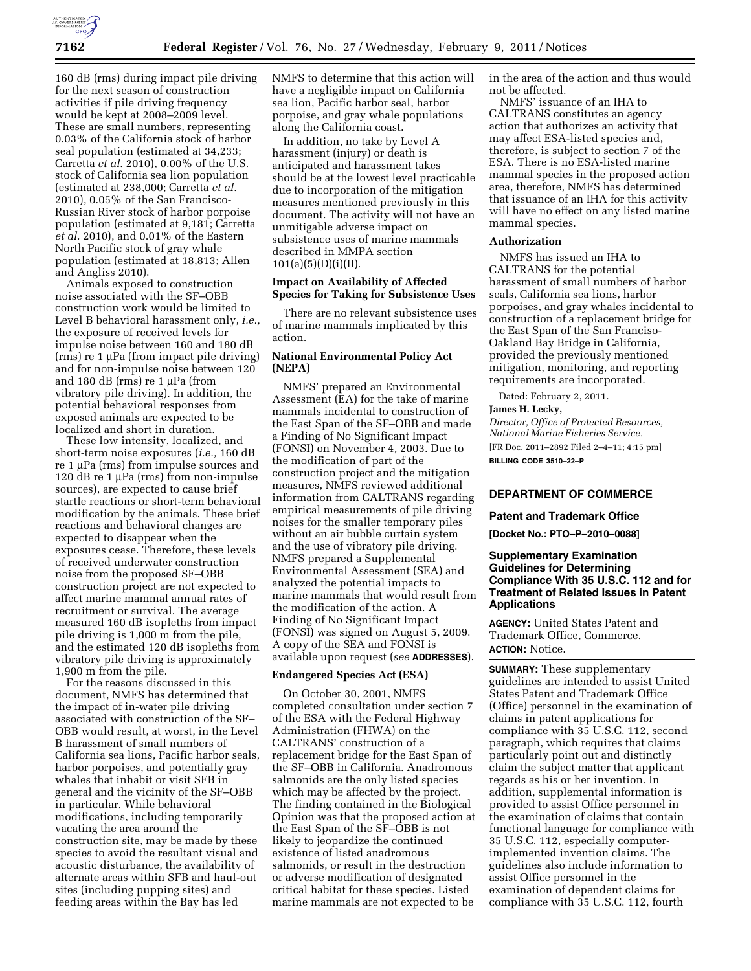

160 dB (rms) during impact pile driving for the next season of construction activities if pile driving frequency would be kept at 2008–2009 level. These are small numbers, representing 0.03% of the California stock of harbor seal population (estimated at 34,233; Carretta *et al.* 2010), 0.00% of the U.S. stock of California sea lion population (estimated at 238,000; Carretta *et al.*  2010), 0.05% of the San Francisco-Russian River stock of harbor porpoise population (estimated at 9,181; Carretta *et al.* 2010), and 0.01% of the Eastern North Pacific stock of gray whale population (estimated at 18,813; Allen and Angliss 2010).

Animals exposed to construction noise associated with the SF–OBB construction work would be limited to Level B behavioral harassment only, *i.e.,*  the exposure of received levels for impulse noise between 160 and 180 dB (rms) re 1 μPa (from impact pile driving) and for non-impulse noise between 120 and 180 dB (rms) re 1 μPa (from vibratory pile driving). In addition, the potential behavioral responses from exposed animals are expected to be localized and short in duration.

These low intensity, localized, and short-term noise exposures (*i.e.,* 160 dB re 1 μPa (rms) from impulse sources and 120 dB re 1 μPa (rms) from non-impulse sources), are expected to cause brief startle reactions or short-term behavioral modification by the animals. These brief reactions and behavioral changes are expected to disappear when the exposures cease. Therefore, these levels of received underwater construction noise from the proposed SF–OBB construction project are not expected to affect marine mammal annual rates of recruitment or survival. The average measured 160 dB isopleths from impact pile driving is 1,000 m from the pile, and the estimated 120 dB isopleths from vibratory pile driving is approximately 1,900 m from the pile.

For the reasons discussed in this document, NMFS has determined that the impact of in-water pile driving associated with construction of the SF– OBB would result, at worst, in the Level B harassment of small numbers of California sea lions, Pacific harbor seals, harbor porpoises, and potentially gray whales that inhabit or visit SFB in general and the vicinity of the SF–OBB in particular. While behavioral modifications, including temporarily vacating the area around the construction site, may be made by these species to avoid the resultant visual and acoustic disturbance, the availability of alternate areas within SFB and haul-out sites (including pupping sites) and feeding areas within the Bay has led

NMFS to determine that this action will have a negligible impact on California sea lion, Pacific harbor seal, harbor porpoise, and gray whale populations along the California coast.

In addition, no take by Level A harassment (injury) or death is anticipated and harassment takes should be at the lowest level practicable due to incorporation of the mitigation measures mentioned previously in this document. The activity will not have an unmitigable adverse impact on subsistence uses of marine mammals described in MMPA section  $101(a)(5)(D)(i)(II).$ 

# **Impact on Availability of Affected Species for Taking for Subsistence Uses**

There are no relevant subsistence uses of marine mammals implicated by this action.

# **National Environmental Policy Act (NEPA)**

NMFS' prepared an Environmental Assessment (EA) for the take of marine mammals incidental to construction of the East Span of the SF–OBB and made a Finding of No Significant Impact (FONSI) on November 4, 2003. Due to the modification of part of the construction project and the mitigation measures, NMFS reviewed additional information from CALTRANS regarding empirical measurements of pile driving noises for the smaller temporary piles without an air bubble curtain system and the use of vibratory pile driving. NMFS prepared a Supplemental Environmental Assessment (SEA) and analyzed the potential impacts to marine mammals that would result from the modification of the action. A Finding of No Significant Impact (FONSI) was signed on August 5, 2009. A copy of the SEA and FONSI is available upon request (*see* **ADDRESSES**).

## **Endangered Species Act (ESA)**

On October 30, 2001, NMFS completed consultation under section 7 of the ESA with the Federal Highway Administration (FHWA) on the CALTRANS' construction of a replacement bridge for the East Span of the SF–OBB in California. Anadromous salmonids are the only listed species which may be affected by the project. The finding contained in the Biological Opinion was that the proposed action at the East Span of the SF–OBB is not likely to jeopardize the continued existence of listed anadromous salmonids, or result in the destruction or adverse modification of designated critical habitat for these species. Listed marine mammals are not expected to be

in the area of the action and thus would not be affected.

NMFS' issuance of an IHA to CALTRANS constitutes an agency action that authorizes an activity that may affect ESA-listed species and, therefore, is subject to section 7 of the ESA. There is no ESA-listed marine mammal species in the proposed action area, therefore, NMFS has determined that issuance of an IHA for this activity will have no effect on any listed marine mammal species.

## **Authorization**

NMFS has issued an IHA to CALTRANS for the potential harassment of small numbers of harbor seals, California sea lions, harbor porpoises, and gray whales incidental to construction of a replacement bridge for the East Span of the San Franciso-Oakland Bay Bridge in California, provided the previously mentioned mitigation, monitoring, and reporting requirements are incorporated.

Dated: February 2, 2011.

#### **James H. Lecky,**

*Director, Office of Protected Resources, National Marine Fisheries Service.*  [FR Doc. 2011–2892 Filed 2–4–11; 4:15 pm] **BILLING CODE 3510–22–P** 

### **DEPARTMENT OF COMMERCE**

### **Patent and Trademark Office**

**[Docket No.: PTO–P–2010–0088]** 

# **Supplementary Examination Guidelines for Determining Compliance With 35 U.S.C. 112 and for Treatment of Related Issues in Patent Applications**

**AGENCY:** United States Patent and Trademark Office, Commerce. **ACTION:** Notice.

**SUMMARY:** These supplementary guidelines are intended to assist United States Patent and Trademark Office (Office) personnel in the examination of claims in patent applications for compliance with 35 U.S.C. 112, second paragraph, which requires that claims particularly point out and distinctly claim the subject matter that applicant regards as his or her invention. In addition, supplemental information is provided to assist Office personnel in the examination of claims that contain functional language for compliance with 35 U.S.C. 112, especially computerimplemented invention claims. The guidelines also include information to assist Office personnel in the examination of dependent claims for compliance with 35 U.S.C. 112, fourth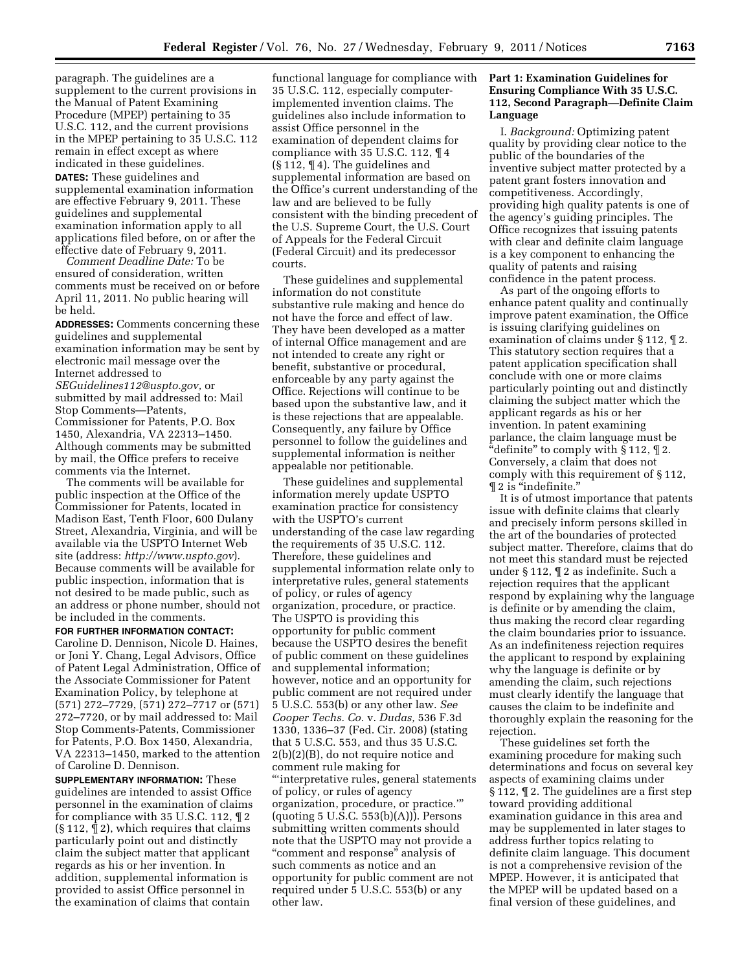paragraph. The guidelines are a supplement to the current provisions in the Manual of Patent Examining Procedure (MPEP) pertaining to 35 U.S.C. 112, and the current provisions in the MPEP pertaining to 35 U.S.C. 112 remain in effect except as where indicated in these guidelines.

**DATES:** These guidelines and supplemental examination information are effective February 9, 2011. These guidelines and supplemental examination information apply to all applications filed before, on or after the effective date of February 9, 2011.

*Comment Deadline Date:* To be ensured of consideration, written comments must be received on or before April 11, 2011. No public hearing will be held.

**ADDRESSES:** Comments concerning these guidelines and supplemental examination information may be sent by electronic mail message over the Internet addressed to *[SEGuidelines112@uspto.gov,](mailto:SEGuidelines112@uspto.gov)* or submitted by mail addressed to: Mail Stop Comments—Patents, Commissioner for Patents, P.O. Box 1450, Alexandria, VA 22313–1450. Although comments may be submitted by mail, the Office prefers to receive comments via the Internet.

The comments will be available for public inspection at the Office of the Commissioner for Patents, located in Madison East, Tenth Floor, 600 Dulany Street, Alexandria, Virginia, and will be available via the USPTO Internet Web site (address: *<http://www.uspto.gov>*). Because comments will be available for public inspection, information that is not desired to be made public, such as an address or phone number, should not be included in the comments.

**FOR FURTHER INFORMATION CONTACT:**  Caroline D. Dennison, Nicole D. Haines, or Joni Y. Chang, Legal Advisors, Office of Patent Legal Administration, Office of the Associate Commissioner for Patent Examination Policy, by telephone at (571) 272–7729, (571) 272–7717 or (571) 272–7720, or by mail addressed to: Mail Stop Comments-Patents, Commissioner for Patents, P.O. Box 1450, Alexandria, VA 22313–1450, marked to the attention of Caroline D. Dennison.

**SUPPLEMENTARY INFORMATION:** These guidelines are intended to assist Office personnel in the examination of claims for compliance with 35 U.S.C. 112, ¶ 2 (§ 112, ¶ 2), which requires that claims particularly point out and distinctly claim the subject matter that applicant regards as his or her invention. In addition, supplemental information is provided to assist Office personnel in the examination of claims that contain

functional language for compliance with 35 U.S.C. 112, especially computerimplemented invention claims. The guidelines also include information to assist Office personnel in the examination of dependent claims for compliance with 35 U.S.C. 112, ¶ 4 (§ 112, ¶ 4). The guidelines and supplemental information are based on the Office's current understanding of the law and are believed to be fully consistent with the binding precedent of the U.S. Supreme Court, the U.S. Court of Appeals for the Federal Circuit (Federal Circuit) and its predecessor courts.

These guidelines and supplemental information do not constitute substantive rule making and hence do not have the force and effect of law. They have been developed as a matter of internal Office management and are not intended to create any right or benefit, substantive or procedural, enforceable by any party against the Office. Rejections will continue to be based upon the substantive law, and it is these rejections that are appealable. Consequently, any failure by Office personnel to follow the guidelines and supplemental information is neither appealable nor petitionable.

These guidelines and supplemental information merely update USPTO examination practice for consistency with the USPTO's current understanding of the case law regarding the requirements of 35 U.S.C. 112. Therefore, these guidelines and supplemental information relate only to interpretative rules, general statements of policy, or rules of agency organization, procedure, or practice. The USPTO is providing this opportunity for public comment because the USPTO desires the benefit of public comment on these guidelines and supplemental information; however, notice and an opportunity for public comment are not required under 5 U.S.C. 553(b) or any other law. *See Cooper Techs. Co.* v. *Dudas,* 536 F.3d 1330, 1336–37 (Fed. Cir. 2008) (stating that 5 U.S.C. 553, and thus 35 U.S.C. 2(b)(2)(B), do not require notice and comment rule making for '''interpretative rules, general statements of policy, or rules of agency organization, procedure, or practice.''' (quoting  $5$  U.S.C.  $553(b)(A))$ ). Persons submitting written comments should note that the USPTO may not provide a ''comment and response'' analysis of such comments as notice and an opportunity for public comment are not required under 5 U.S.C. 553(b) or any other law.

# **Part 1: Examination Guidelines for Ensuring Compliance With 35 U.S.C. 112, Second Paragraph—Definite Claim Language**

I. *Background:* Optimizing patent quality by providing clear notice to the public of the boundaries of the inventive subject matter protected by a patent grant fosters innovation and competitiveness. Accordingly, providing high quality patents is one of the agency's guiding principles. The Office recognizes that issuing patents with clear and definite claim language is a key component to enhancing the quality of patents and raising confidence in the patent process.

As part of the ongoing efforts to enhance patent quality and continually improve patent examination, the Office is issuing clarifying guidelines on examination of claims under § 112, ¶ 2. This statutory section requires that a patent application specification shall conclude with one or more claims particularly pointing out and distinctly claiming the subject matter which the applicant regards as his or her invention. In patent examining parlance, the claim language must be "definite" to comply with  $\S 112$ ,  $\P 2$ . Conversely, a claim that does not comply with this requirement of § 112, ¶ 2 is ''indefinite.''

It is of utmost importance that patents issue with definite claims that clearly and precisely inform persons skilled in the art of the boundaries of protected subject matter. Therefore, claims that do not meet this standard must be rejected under § 112, ¶ 2 as indefinite. Such a rejection requires that the applicant respond by explaining why the language is definite or by amending the claim, thus making the record clear regarding the claim boundaries prior to issuance. As an indefiniteness rejection requires the applicant to respond by explaining why the language is definite or by amending the claim, such rejections must clearly identify the language that causes the claim to be indefinite and thoroughly explain the reasoning for the rejection.

These guidelines set forth the examining procedure for making such determinations and focus on several key aspects of examining claims under § 112, ¶ 2. The guidelines are a first step toward providing additional examination guidance in this area and may be supplemented in later stages to address further topics relating to definite claim language. This document is not a comprehensive revision of the MPEP. However, it is anticipated that the MPEP will be updated based on a final version of these guidelines, and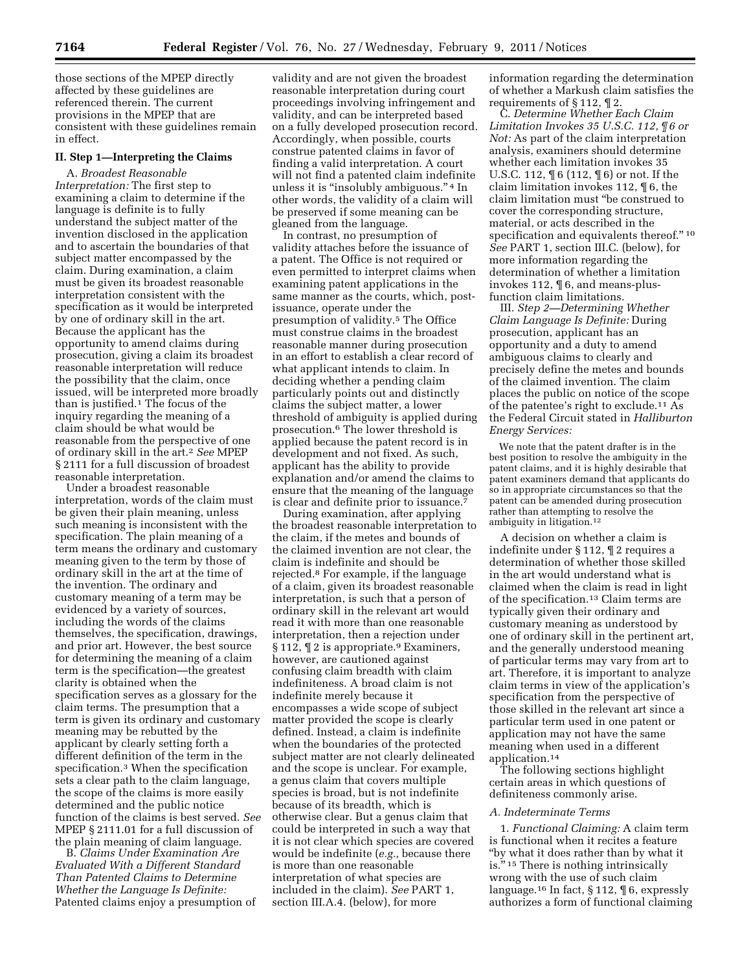those sections of the MPEP directly affected by these guidelines are referenced therein. The current provisions in the MPEP that are consistent with these guidelines remain in effect.

#### **II. Step 1—Interpreting the Claims**

A. *Broadest Reasonable Interpretation:* The first step to examining a claim to determine if the language is definite is to fully understand the subject matter of the invention disclosed in the application and to ascertain the boundaries of that subject matter encompassed by the claim. During examination, a claim must be given its broadest reasonable interpretation consistent with the specification as it would be interpreted by one of ordinary skill in the art. Because the applicant has the opportunity to amend claims during prosecution, giving a claim its broadest reasonable interpretation will reduce the possibility that the claim, once issued, will be interpreted more broadly than is justified.1 The focus of the inquiry regarding the meaning of a claim should be what would be reasonable from the perspective of one of ordinary skill in the art.2 *See* MPEP § 2111 for a full discussion of broadest reasonable interpretation.

Under a broadest reasonable interpretation, words of the claim must be given their plain meaning, unless such meaning is inconsistent with the specification. The plain meaning of a term means the ordinary and customary meaning given to the term by those of ordinary skill in the art at the time of the invention. The ordinary and customary meaning of a term may be evidenced by a variety of sources, including the words of the claims themselves, the specification, drawings, and prior art. However, the best source for determining the meaning of a claim term is the specification—the greatest clarity is obtained when the specification serves as a glossary for the claim terms. The presumption that a term is given its ordinary and customary meaning may be rebutted by the applicant by clearly setting forth a different definition of the term in the specification.3 When the specification sets a clear path to the claim language, the scope of the claims is more easily determined and the public notice function of the claims is best served. *See*  MPEP § 2111.01 for a full discussion of the plain meaning of claim language.

B. *Claims Under Examination Are Evaluated With a Different Standard Than Patented Claims to Determine Whether the Language Is Definite:*  Patented claims enjoy a presumption of

validity and are not given the broadest reasonable interpretation during court proceedings involving infringement and validity, and can be interpreted based on a fully developed prosecution record. Accordingly, when possible, courts construe patented claims in favor of finding a valid interpretation. A court will not find a patented claim indefinite unless it is "insolubly ambiguous." <sup>4</sup> In other words, the validity of a claim will be preserved if some meaning can be gleaned from the language.

In contrast, no presumption of validity attaches before the issuance of a patent. The Office is not required or even permitted to interpret claims when examining patent applications in the same manner as the courts, which, postissuance, operate under the presumption of validity.5 The Office must construe claims in the broadest reasonable manner during prosecution in an effort to establish a clear record of what applicant intends to claim. In deciding whether a pending claim particularly points out and distinctly claims the subject matter, a lower threshold of ambiguity is applied during prosecution.6 The lower threshold is applied because the patent record is in development and not fixed. As such, applicant has the ability to provide explanation and/or amend the claims to ensure that the meaning of the language is clear and definite prior to issuance.7

During examination, after applying the broadest reasonable interpretation to the claim, if the metes and bounds of the claimed invention are not clear, the claim is indefinite and should be rejected.8 For example, if the language of a claim, given its broadest reasonable interpretation, is such that a person of ordinary skill in the relevant art would read it with more than one reasonable interpretation, then a rejection under § 112,  $\P$  2 is appropriate.<sup>9</sup> Examiners, however, are cautioned against confusing claim breadth with claim indefiniteness. A broad claim is not indefinite merely because it encompasses a wide scope of subject matter provided the scope is clearly defined. Instead, a claim is indefinite when the boundaries of the protected subject matter are not clearly delineated and the scope is unclear. For example, a genus claim that covers multiple species is broad, but is not indefinite because of its breadth, which is otherwise clear. But a genus claim that could be interpreted in such a way that it is not clear which species are covered would be indefinite (*e.g.,* because there is more than one reasonable interpretation of what species are included in the claim). *See* PART 1, section III.A.4. (below), for more

information regarding the determination of whether a Markush claim satisfies the requirements of § 112, ¶ 2.

C. *Determine Whether Each Claim Limitation Invokes 35 U.S.C. 112, ¶ 6 or Not:* As part of the claim interpretation analysis, examiners should determine whether each limitation invokes 35 U.S.C. 112, ¶ 6 (112, ¶ 6) or not. If the claim limitation invokes 112, ¶ 6, the claim limitation must ''be construed to cover the corresponding structure, material, or acts described in the specification and equivalents thereof."  $^{\rm 10}$ *See* PART 1, section III.C. (below), for more information regarding the determination of whether a limitation invokes 112, ¶ 6, and means-plusfunction claim limitations.

III. *Step 2—Determining Whether Claim Language Is Definite:* During prosecution, applicant has an opportunity and a duty to amend ambiguous claims to clearly and precisely define the metes and bounds of the claimed invention. The claim places the public on notice of the scope of the patentee's right to exclude.11 As the Federal Circuit stated in *Halliburton Energy Services:* 

We note that the patent drafter is in the best position to resolve the ambiguity in the patent claims, and it is highly desirable that patent examiners demand that applicants do so in appropriate circumstances so that the patent can be amended during prosecution rather than attempting to resolve the ambiguity in litigation.12

A decision on whether a claim is indefinite under § 112, ¶ 2 requires a determination of whether those skilled in the art would understand what is claimed when the claim is read in light of the specification.13 Claim terms are typically given their ordinary and customary meaning as understood by one of ordinary skill in the pertinent art, and the generally understood meaning of particular terms may vary from art to art. Therefore, it is important to analyze claim terms in view of the application's specification from the perspective of those skilled in the relevant art since a particular term used in one patent or application may not have the same meaning when used in a different application.14

The following sections highlight certain areas in which questions of definiteness commonly arise.

### *A. Indeterminate Terms*

1. *Functional Claiming:* A claim term is functional when it recites a feature ''by what it does rather than by what it is."<sup>15</sup> There is nothing intrinsically wrong with the use of such claim language.16 In fact, § 112, ¶ 6, expressly authorizes a form of functional claiming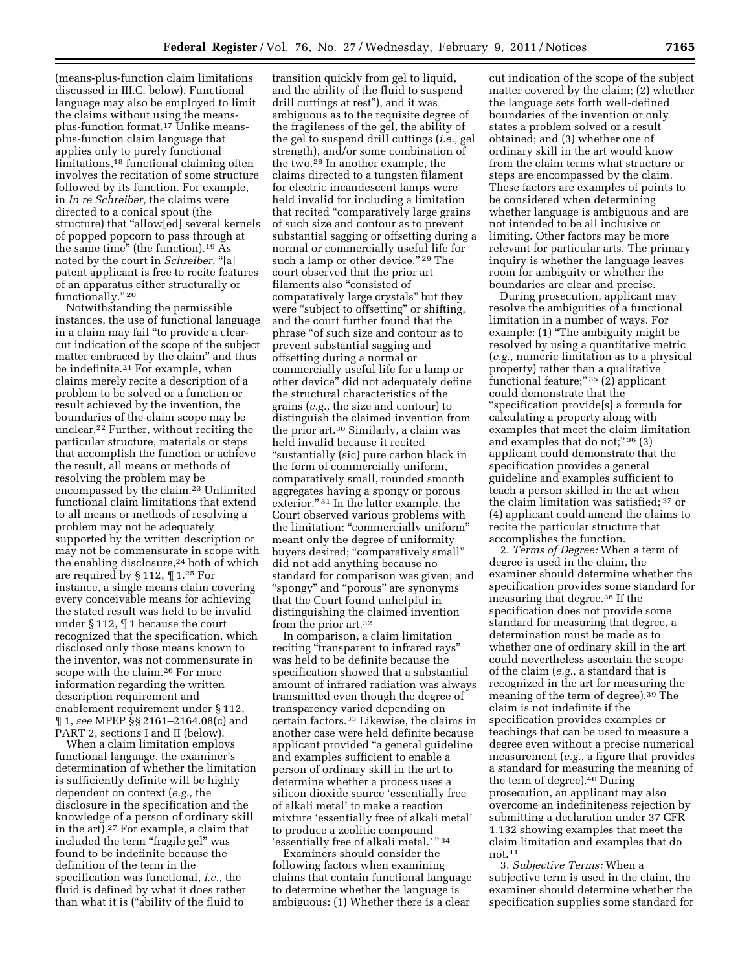(means-plus-function claim limitations discussed in III.C. below). Functional language may also be employed to limit the claims without using the meansplus-function format.17 Unlike meansplus-function claim language that applies only to purely functional limitations,18 functional claiming often involves the recitation of some structure followed by its function. For example, in *In re Schreiber,* the claims were directed to a conical spout (the structure) that ''allow[ed] several kernels of popped popcorn to pass through at the same time'' (the function).19 As noted by the court in *Schreiber,* ''[a] patent applicant is free to recite features of an apparatus either structurally or functionally.'' 20

Notwithstanding the permissible instances, the use of functional language in a claim may fail ''to provide a clearcut indication of the scope of the subject matter embraced by the claim'' and thus be indefinite.21 For example, when claims merely recite a description of a problem to be solved or a function or result achieved by the invention, the boundaries of the claim scope may be unclear.22 Further, without reciting the particular structure, materials or steps that accomplish the function or achieve the result, all means or methods of resolving the problem may be encompassed by the claim.23 Unlimited functional claim limitations that extend to all means or methods of resolving a problem may not be adequately supported by the written description or may not be commensurate in scope with the enabling disclosure,24 both of which are required by § 112, ¶ 1.25 For instance, a single means claim covering every conceivable means for achieving the stated result was held to be invalid under § 112, ¶ 1 because the court recognized that the specification, which disclosed only those means known to the inventor, was not commensurate in scope with the claim.26 For more information regarding the written description requirement and enablement requirement under § 112, ¶ 1, *see* MPEP §§ 2161–2164.08(c) and PART 2, sections I and II (below).

When a claim limitation employs functional language, the examiner's determination of whether the limitation is sufficiently definite will be highly dependent on context (*e.g.,* the disclosure in the specification and the knowledge of a person of ordinary skill in the art).27 For example, a claim that included the term "fragile gel" was found to be indefinite because the definition of the term in the specification was functional, *i.e.,* the fluid is defined by what it does rather than what it is (''ability of the fluid to

transition quickly from gel to liquid, and the ability of the fluid to suspend drill cuttings at rest''), and it was ambiguous as to the requisite degree of the fragileness of the gel, the ability of the gel to suspend drill cuttings (*i.e.,* gel strength), and/or some combination of the two.28 In another example, the claims directed to a tungsten filament for electric incandescent lamps were held invalid for including a limitation that recited ''comparatively large grains of such size and contour as to prevent substantial sagging or offsetting during a normal or commercially useful life for such a lamp or other device."<sup>29</sup> The court observed that the prior art filaments also "consisted of comparatively large crystals'' but they were ''subject to offsetting'' or shifting, and the court further found that the phrase ''of such size and contour as to prevent substantial sagging and offsetting during a normal or commercially useful life for a lamp or other device'' did not adequately define the structural characteristics of the grains (*e.g.,* the size and contour) to distinguish the claimed invention from the prior art.30 Similarly, a claim was held invalid because it recited ''sustantially (sic) pure carbon black in the form of commercially uniform, comparatively small, rounded smooth aggregates having a spongy or porous exterior." <sup>31</sup> In the latter example, the Court observed various problems with the limitation: ''commercially uniform'' meant only the degree of uniformity buyers desired; "comparatively small" did not add anything because no standard for comparison was given; and ''spongy'' and ''porous'' are synonyms that the Court found unhelpful in distinguishing the claimed invention from the prior art.32

In comparison, a claim limitation reciting "transparent to infrared rays" was held to be definite because the specification showed that a substantial amount of infrared radiation was always transmitted even though the degree of transparency varied depending on certain factors.33 Likewise, the claims in another case were held definite because applicant provided ''a general guideline and examples sufficient to enable a person of ordinary skill in the art to determine whether a process uses a silicon dioxide source 'essentially free of alkali metal' to make a reaction mixture 'essentially free of alkali metal' to produce a zeolitic compound 'essentially free of alkali metal.'" 34

Examiners should consider the following factors when examining claims that contain functional language to determine whether the language is ambiguous: (1) Whether there is a clear

cut indication of the scope of the subject matter covered by the claim; (2) whether the language sets forth well-defined boundaries of the invention or only states a problem solved or a result obtained; and (3) whether one of ordinary skill in the art would know from the claim terms what structure or steps are encompassed by the claim. These factors are examples of points to be considered when determining whether language is ambiguous and are not intended to be all inclusive or limiting. Other factors may be more relevant for particular arts. The primary inquiry is whether the language leaves room for ambiguity or whether the boundaries are clear and precise.

During prosecution, applicant may resolve the ambiguities of a functional limitation in a number of ways. For example: (1) "The ambiguity might be resolved by using a quantitative metric (*e.g.,* numeric limitation as to a physical property) rather than a qualitative functional feature;"  $35(2)$  applicant could demonstrate that the ''specification provide[s] a formula for calculating a property along with examples that meet the claim limitation and examples that do not;" 36 (3) applicant could demonstrate that the specification provides a general guideline and examples sufficient to teach a person skilled in the art when the claim limitation was satisfied; 37 or (4) applicant could amend the claims to recite the particular structure that accomplishes the function.

2. *Terms of Degree:* When a term of degree is used in the claim, the examiner should determine whether the specification provides some standard for measuring that degree.38 If the specification does not provide some standard for measuring that degree, a determination must be made as to whether one of ordinary skill in the art could nevertheless ascertain the scope of the claim (*e.g.,* a standard that is recognized in the art for measuring the meaning of the term of degree).39 The claim is not indefinite if the specification provides examples or teachings that can be used to measure a degree even without a precise numerical measurement (*e.g.,* a figure that provides a standard for measuring the meaning of the term of degree).40 During prosecution, an applicant may also overcome an indefiniteness rejection by submitting a declaration under 37 CFR 1.132 showing examples that meet the claim limitation and examples that do not.41

3. *Subjective Terms:* When a subjective term is used in the claim, the examiner should determine whether the specification supplies some standard for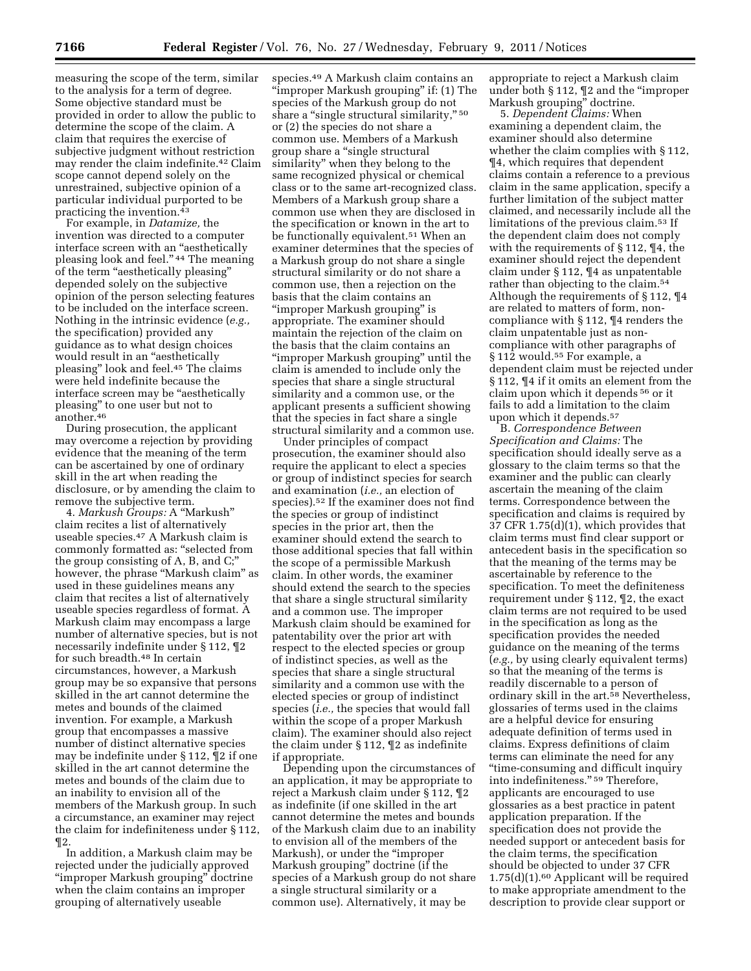measuring the scope of the term, similar to the analysis for a term of degree. Some objective standard must be provided in order to allow the public to determine the scope of the claim. A claim that requires the exercise of subjective judgment without restriction may render the claim indefinite.42 Claim scope cannot depend solely on the unrestrained, subjective opinion of a particular individual purported to be practicing the invention.43

For example, in *Datamize,* the invention was directed to a computer interface screen with an ''aesthetically pleasing look and feel.'' 44 The meaning of the term "aesthetically pleasing" depended solely on the subjective opinion of the person selecting features to be included on the interface screen. Nothing in the intrinsic evidence (*e.g.,*  the specification) provided any guidance as to what design choices would result in an ''aesthetically pleasing'' look and feel.45 The claims were held indefinite because the interface screen may be ''aesthetically pleasing'' to one user but not to another.46

During prosecution, the applicant may overcome a rejection by providing evidence that the meaning of the term can be ascertained by one of ordinary skill in the art when reading the disclosure, or by amending the claim to remove the subjective term.

4. *Markush Groups:* A ''Markush'' claim recites a list of alternatively useable species.47 A Markush claim is commonly formatted as: ''selected from the group consisting of A, B, and C;'' however, the phrase "Markush claim" as used in these guidelines means any claim that recites a list of alternatively useable species regardless of format. A Markush claim may encompass a large number of alternative species, but is not necessarily indefinite under § 112, ¶2 for such breadth.48 In certain circumstances, however, a Markush group may be so expansive that persons skilled in the art cannot determine the metes and bounds of the claimed invention. For example, a Markush group that encompasses a massive number of distinct alternative species may be indefinite under § 112, ¶2 if one skilled in the art cannot determine the metes and bounds of the claim due to an inability to envision all of the members of the Markush group. In such a circumstance, an examiner may reject the claim for indefiniteness under § 112, ¶2.

In addition, a Markush claim may be rejected under the judicially approved ''improper Markush grouping'' doctrine when the claim contains an improper grouping of alternatively useable

species.49 A Markush claim contains an ''improper Markush grouping'' if: (1) The species of the Markush group do not share a "single structural similarity," 50 or (2) the species do not share a common use. Members of a Markush group share a ''single structural similarity'' when they belong to the same recognized physical or chemical class or to the same art-recognized class. Members of a Markush group share a common use when they are disclosed in the specification or known in the art to be functionally equivalent.<sup>51</sup> When an examiner determines that the species of a Markush group do not share a single structural similarity or do not share a common use, then a rejection on the basis that the claim contains an ''improper Markush grouping'' is appropriate. The examiner should maintain the rejection of the claim on the basis that the claim contains an ''improper Markush grouping'' until the claim is amended to include only the species that share a single structural similarity and a common use, or the applicant presents a sufficient showing that the species in fact share a single structural similarity and a common use.

Under principles of compact prosecution, the examiner should also require the applicant to elect a species or group of indistinct species for search and examination (*i.e.,* an election of species).52 If the examiner does not find the species or group of indistinct species in the prior art, then the examiner should extend the search to those additional species that fall within the scope of a permissible Markush claim. In other words, the examiner should extend the search to the species that share a single structural similarity and a common use. The improper Markush claim should be examined for patentability over the prior art with respect to the elected species or group of indistinct species, as well as the species that share a single structural similarity and a common use with the elected species or group of indistinct species (*i.e.,* the species that would fall within the scope of a proper Markush claim). The examiner should also reject the claim under § 112, ¶2 as indefinite if appropriate.

Depending upon the circumstances of an application, it may be appropriate to reject a Markush claim under § 112, ¶2 as indefinite (if one skilled in the art cannot determine the metes and bounds of the Markush claim due to an inability to envision all of the members of the Markush), or under the ''improper Markush grouping'' doctrine (if the species of a Markush group do not share a single structural similarity or a common use). Alternatively, it may be

appropriate to reject a Markush claim under both § 112, ¶2 and the "improper Markush grouping'' doctrine.

5. *Dependent Claims:* When examining a dependent claim, the examiner should also determine whether the claim complies with § 112, ¶4, which requires that dependent claims contain a reference to a previous claim in the same application, specify a further limitation of the subject matter claimed, and necessarily include all the limitations of the previous claim.53 If the dependent claim does not comply with the requirements of § 112, ¶4, the examiner should reject the dependent claim under § 112, ¶4 as unpatentable rather than objecting to the claim.54 Although the requirements of § 112, ¶4 are related to matters of form, noncompliance with § 112, ¶4 renders the claim unpatentable just as noncompliance with other paragraphs of § 112 would.<sup>55</sup> For example, a dependent claim must be rejected under § 112, ¶4 if it omits an element from the claim upon which it depends 56 or it fails to add a limitation to the claim upon which it depends.57

B. *Correspondence Between Specification and Claims:* The specification should ideally serve as a glossary to the claim terms so that the examiner and the public can clearly ascertain the meaning of the claim terms. Correspondence between the specification and claims is required by 37 CFR 1.75(d)(1), which provides that claim terms must find clear support or antecedent basis in the specification so that the meaning of the terms may be ascertainable by reference to the specification. To meet the definiteness requirement under § 112, ¶2, the exact claim terms are not required to be used in the specification as long as the specification provides the needed guidance on the meaning of the terms (*e.g.,* by using clearly equivalent terms) so that the meaning of the terms is readily discernable to a person of ordinary skill in the art.<sup>58</sup> Nevertheless, glossaries of terms used in the claims are a helpful device for ensuring adequate definition of terms used in claims. Express definitions of claim terms can eliminate the need for any ''time-consuming and difficult inquiry into indefiniteness.'' 59 Therefore, applicants are encouraged to use glossaries as a best practice in patent application preparation. If the specification does not provide the needed support or antecedent basis for the claim terms, the specification should be objected to under 37 CFR  $1.75(d)(1).^{\scriptstyle 60}$  Applicant will be required to make appropriate amendment to the description to provide clear support or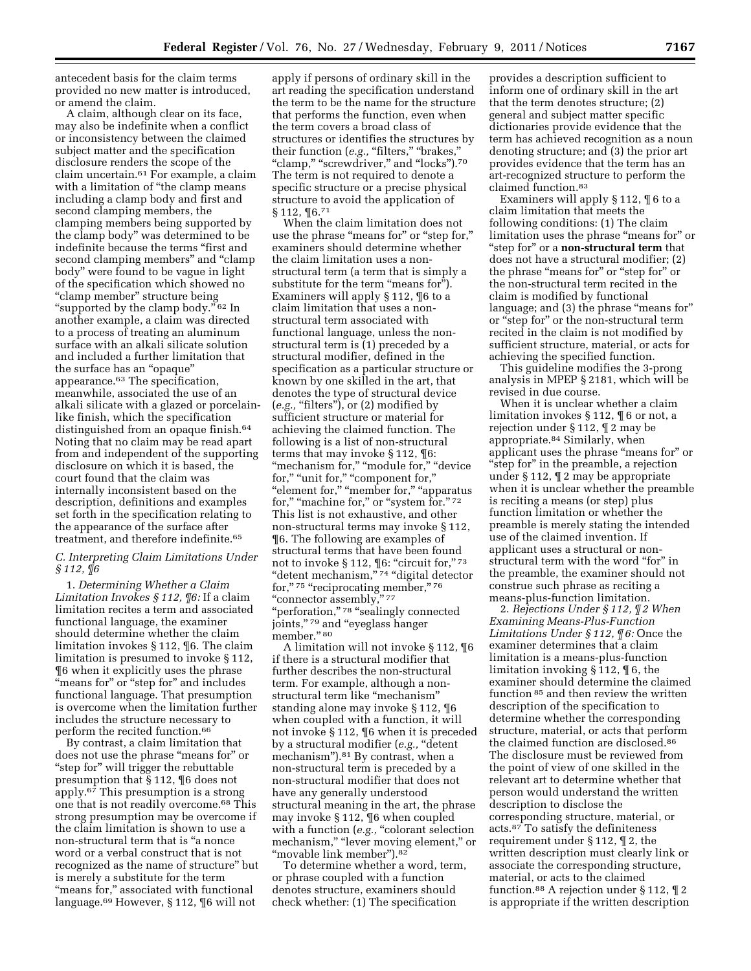antecedent basis for the claim terms provided no new matter is introduced, or amend the claim.

A claim, although clear on its face, may also be indefinite when a conflict or inconsistency between the claimed subject matter and the specification disclosure renders the scope of the claim uncertain.61 For example, a claim with a limitation of "the clamp means including a clamp body and first and second clamping members, the clamping members being supported by the clamp body'' was determined to be indefinite because the terms ''first and second clamping members" and "clamp body'' were found to be vague in light of the specification which showed no "clamp member" structure being "supported by the clamp body."<sup>62</sup> In another example, a claim was directed to a process of treating an aluminum surface with an alkali silicate solution and included a further limitation that the surface has an ''opaque'' appearance.63 The specification, meanwhile, associated the use of an alkali silicate with a glazed or porcelainlike finish, which the specification distinguished from an opaque finish.64 Noting that no claim may be read apart from and independent of the supporting disclosure on which it is based, the court found that the claim was internally inconsistent based on the description, definitions and examples set forth in the specification relating to the appearance of the surface after treatment, and therefore indefinite.65

# *C. Interpreting Claim Limitations Under § 112, ¶6*

1. *Determining Whether a Claim Limitation Invokes § 112, ¶6:* If a claim limitation recites a term and associated functional language, the examiner should determine whether the claim limitation invokes § 112, ¶6. The claim limitation is presumed to invoke § 112, ¶6 when it explicitly uses the phrase "means for" or "step for" and includes functional language. That presumption is overcome when the limitation further includes the structure necessary to perform the recited function.66

By contrast, a claim limitation that does not use the phrase ''means for'' or "step for" will trigger the rebuttable presumption that § 112, ¶6 does not apply.67 This presumption is a strong one that is not readily overcome.68 This strong presumption may be overcome if the claim limitation is shown to use a non-structural term that is ''a nonce word or a verbal construct that is not recognized as the name of structure'' but is merely a substitute for the term "means for," associated with functional language.69 However, § 112, ¶6 will not

apply if persons of ordinary skill in the art reading the specification understand the term to be the name for the structure that performs the function, even when the term covers a broad class of structures or identifies the structures by their function (*e.g.*, "filters," "brakes," "clamp," "screwdriver," and "locks").<sup>70</sup> The term is not required to denote a specific structure or a precise physical structure to avoid the application of § 112, ¶6.71

When the claim limitation does not use the phrase "means for" or "step for," examiners should determine whether the claim limitation uses a nonstructural term (a term that is simply a substitute for the term "means for"). Examiners will apply § 112, ¶6 to a claim limitation that uses a nonstructural term associated with functional language, unless the nonstructural term is (1) preceded by a structural modifier, defined in the specification as a particular structure or known by one skilled in the art, that denotes the type of structural device (*e.g.,* "filters"), or (2) modified by sufficient structure or material for achieving the claimed function. The following is a list of non-structural terms that may invoke § 112, ¶6: "mechanism for," "module for," "device for," "unit for," "component for," ''element for,'' ''member for,'' ''apparatus for," "machine for," or "system for." 72 This list is not exhaustive, and other non-structural terms may invoke § 112, ¶6. The following are examples of structural terms that have been found not to invoke § 112, ¶6: "circuit for," 73 ''detent mechanism,'' 74 ''digital detector for,"<sup>75</sup> "reciprocating member,"<sup>76</sup> "connector assembly," 77 "perforation,"<sup>78</sup> "sealingly connected joints,"<sup>79</sup> and "eyeglass hanger member."  $^{\rm 80}$ 

A limitation will not invoke § 112, ¶6 if there is a structural modifier that further describes the non-structural term. For example, although a nonstructural term like "mechanism" standing alone may invoke § 112, ¶6 when coupled with a function, it will not invoke § 112, ¶6 when it is preceded by a structural modifier (*e.g.*, "detent" mechanism'').81 By contrast, when a non-structural term is preceded by a non-structural modifier that does not have any generally understood structural meaning in the art, the phrase may invoke § 112, ¶6 when coupled with a function (e.g., "colorant selection mechanism," "lever moving element," or ''movable link member'').82

To determine whether a word, term, or phrase coupled with a function denotes structure, examiners should check whether: (1) The specification

provides a description sufficient to inform one of ordinary skill in the art that the term denotes structure; (2) general and subject matter specific dictionaries provide evidence that the term has achieved recognition as a noun denoting structure; and (3) the prior art provides evidence that the term has an art-recognized structure to perform the claimed function.83

Examiners will apply § 112, ¶ 6 to a claim limitation that meets the following conditions: (1) The claim limitation uses the phrase "means for" or ''step for'' or a **non-structural term** that does not have a structural modifier; (2) the phrase ''means for'' or ''step for'' or the non-structural term recited in the claim is modified by functional language; and (3) the phrase "means for" or ''step for'' or the non-structural term recited in the claim is not modified by sufficient structure, material, or acts for achieving the specified function.

This guideline modifies the 3-prong analysis in MPEP § 2181, which will be revised in due course.

When it is unclear whether a claim limitation invokes § 112, ¶ 6 or not, a rejection under § 112, ¶ 2 may be appropriate.84 Similarly, when applicant uses the phrase ''means for'' or "step for" in the preamble, a rejection under § 112, ¶ 2 may be appropriate when it is unclear whether the preamble is reciting a means (or step) plus function limitation or whether the preamble is merely stating the intended use of the claimed invention. If applicant uses a structural or nonstructural term with the word "for" in the preamble, the examiner should not construe such phrase as reciting a means-plus-function limitation.

2. *Rejections Under § 112, ¶ 2 When Examining Means-Plus-Function Limitations Under § 112, ¶ 6:* Once the examiner determines that a claim limitation is a means-plus-function limitation invoking § 112, ¶ 6, the examiner should determine the claimed function 85 and then review the written description of the specification to determine whether the corresponding structure, material, or acts that perform the claimed function are disclosed.86 The disclosure must be reviewed from the point of view of one skilled in the relevant art to determine whether that person would understand the written description to disclose the corresponding structure, material, or acts.87 To satisfy the definiteness requirement under § 112, ¶ 2, the written description must clearly link or associate the corresponding structure, material, or acts to the claimed function.88 A rejection under § 112, ¶ 2 is appropriate if the written description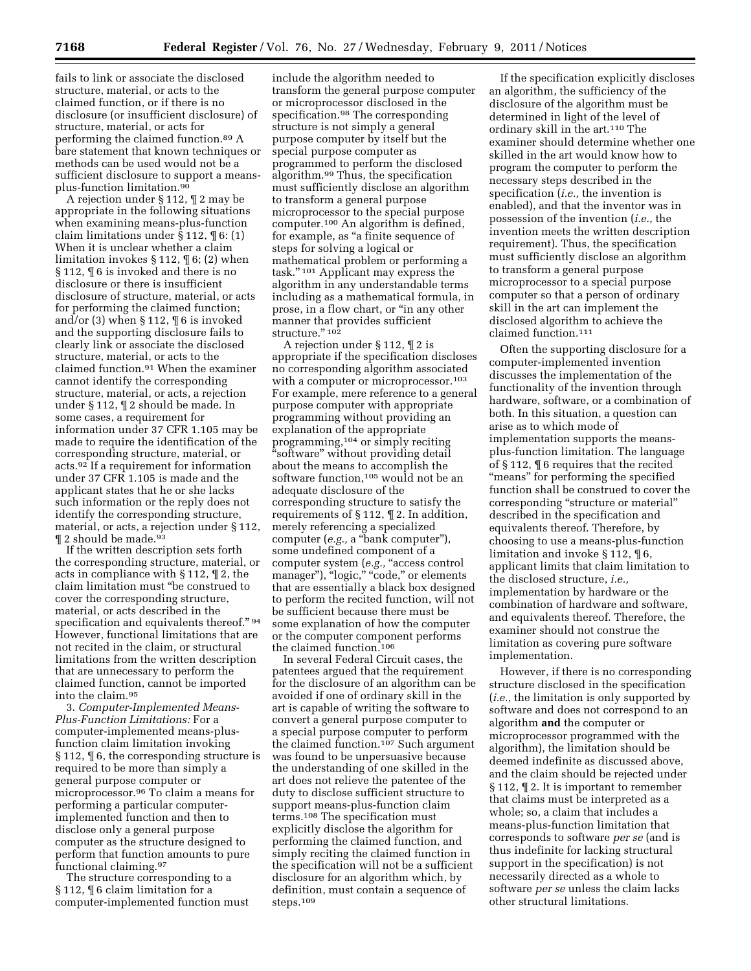fails to link or associate the disclosed structure, material, or acts to the claimed function, or if there is no disclosure (or insufficient disclosure) of structure, material, or acts for performing the claimed function.89 A bare statement that known techniques or methods can be used would not be a sufficient disclosure to support a meansplus-function limitation.90

A rejection under § 112, ¶ 2 may be appropriate in the following situations when examining means-plus-function claim limitations under § 112, ¶ 6: (1) When it is unclear whether a claim limitation invokes § 112, ¶ 6; (2) when § 112, ¶ 6 is invoked and there is no disclosure or there is insufficient disclosure of structure, material, or acts for performing the claimed function; and/or (3) when § 112, ¶ 6 is invoked and the supporting disclosure fails to clearly link or associate the disclosed structure, material, or acts to the claimed function.91 When the examiner cannot identify the corresponding structure, material, or acts, a rejection under § 112, ¶ 2 should be made. In some cases, a requirement for information under 37 CFR 1.105 may be made to require the identification of the corresponding structure, material, or acts.92 If a requirement for information under 37 CFR 1.105 is made and the applicant states that he or she lacks such information or the reply does not identify the corresponding structure, material, or acts, a rejection under § 112, ¶ 2 should be made.93

If the written description sets forth the corresponding structure, material, or acts in compliance with § 112, ¶ 2, the claim limitation must ''be construed to cover the corresponding structure, material, or acts described in the specification and equivalents thereof." 94 However, functional limitations that are not recited in the claim, or structural limitations from the written description that are unnecessary to perform the claimed function, cannot be imported into the claim.95

3. *Computer-Implemented Means-Plus-Function Limitations:* For a computer-implemented means-plusfunction claim limitation invoking § 112, ¶ 6, the corresponding structure is required to be more than simply a general purpose computer or microprocessor.96 To claim a means for performing a particular computerimplemented function and then to disclose only a general purpose computer as the structure designed to perform that function amounts to pure functional claiming.97

The structure corresponding to a § 112, ¶ 6 claim limitation for a computer-implemented function must

include the algorithm needed to transform the general purpose computer or microprocessor disclosed in the specification.98 The corresponding structure is not simply a general purpose computer by itself but the special purpose computer as programmed to perform the disclosed algorithm.99 Thus, the specification must sufficiently disclose an algorithm to transform a general purpose microprocessor to the special purpose computer.100 An algorithm is defined, for example, as "a finite sequence of steps for solving a logical or mathematical problem or performing a task.'' 101 Applicant may express the algorithm in any understandable terms including as a mathematical formula, in prose, in a flow chart, or ''in any other manner that provides sufficient structure." 102

A rejection under § 112, ¶ 2 is appropriate if the specification discloses no corresponding algorithm associated with a computer or microprocessor.<sup>103</sup> For example, mere reference to a general purpose computer with appropriate programming without providing an explanation of the appropriate programming,104 or simply reciting ''software'' without providing detail about the means to accomplish the software function,<sup>105</sup> would not be an adequate disclosure of the corresponding structure to satisfy the requirements of § 112, ¶ 2. In addition, merely referencing a specialized computer (*e.g.,* a ''bank computer''), some undefined component of a computer system (e.g., "access control manager"), "logic," "code," or elements that are essentially a black box designed to perform the recited function, will not be sufficient because there must be some explanation of how the computer or the computer component performs the claimed function.106

In several Federal Circuit cases, the patentees argued that the requirement for the disclosure of an algorithm can be avoided if one of ordinary skill in the art is capable of writing the software to convert a general purpose computer to a special purpose computer to perform the claimed function.107 Such argument was found to be unpersuasive because the understanding of one skilled in the art does not relieve the patentee of the duty to disclose sufficient structure to support means-plus-function claim terms.108 The specification must explicitly disclose the algorithm for performing the claimed function, and simply reciting the claimed function in the specification will not be a sufficient disclosure for an algorithm which, by definition, must contain a sequence of steps.109

If the specification explicitly discloses an algorithm, the sufficiency of the disclosure of the algorithm must be determined in light of the level of ordinary skill in the art.110 The examiner should determine whether one skilled in the art would know how to program the computer to perform the necessary steps described in the specification (*i.e.,* the invention is enabled), and that the inventor was in possession of the invention (*i.e.,* the invention meets the written description requirement). Thus, the specification must sufficiently disclose an algorithm to transform a general purpose microprocessor to a special purpose computer so that a person of ordinary skill in the art can implement the disclosed algorithm to achieve the claimed function.111

Often the supporting disclosure for a computer-implemented invention discusses the implementation of the functionality of the invention through hardware, software, or a combination of both. In this situation, a question can arise as to which mode of implementation supports the meansplus-function limitation. The language of § 112, ¶ 6 requires that the recited "means" for performing the specified function shall be construed to cover the corresponding ''structure or material'' described in the specification and equivalents thereof. Therefore, by choosing to use a means-plus-function limitation and invoke § 112, ¶ 6, applicant limits that claim limitation to the disclosed structure, *i.e.,*  implementation by hardware or the combination of hardware and software, and equivalents thereof. Therefore, the examiner should not construe the limitation as covering pure software implementation.

However, if there is no corresponding structure disclosed in the specification (*i.e.,* the limitation is only supported by software and does not correspond to an algorithm **and** the computer or microprocessor programmed with the algorithm), the limitation should be deemed indefinite as discussed above, and the claim should be rejected under § 112,  $\P$  2. It is important to remember that claims must be interpreted as a whole; so, a claim that includes a means-plus-function limitation that corresponds to software *per se* (and is thus indefinite for lacking structural support in the specification) is not necessarily directed as a whole to software *per se* unless the claim lacks other structural limitations.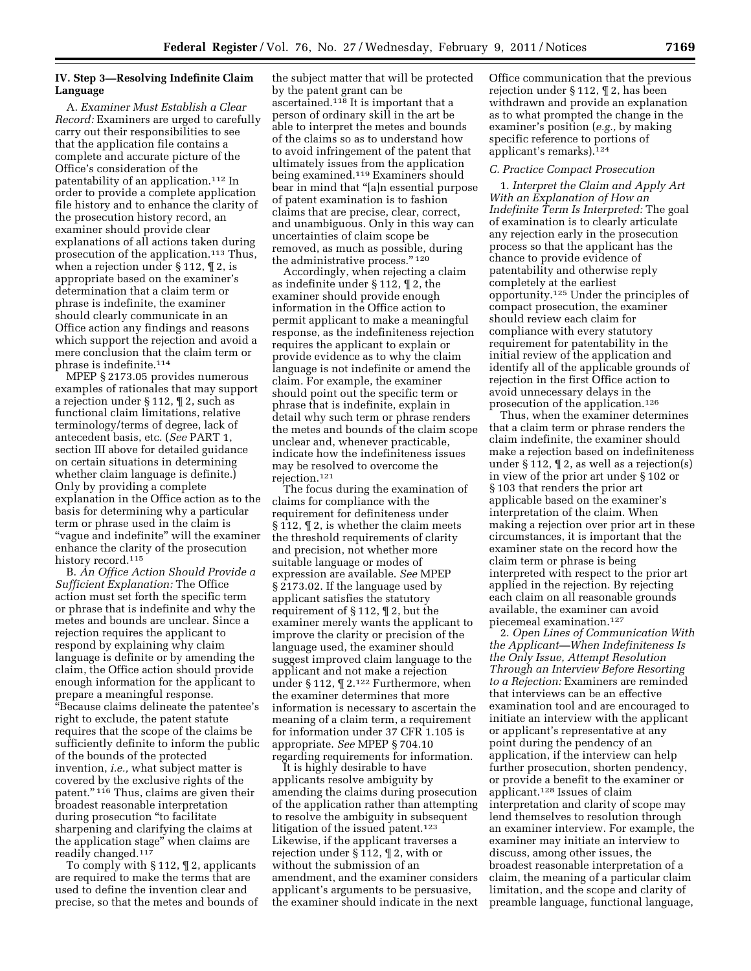# **IV. Step 3—Resolving Indefinite Claim Language**

A. *Examiner Must Establish a Clear Record:* Examiners are urged to carefully carry out their responsibilities to see that the application file contains a complete and accurate picture of the Office's consideration of the patentability of an application.112 In order to provide a complete application file history and to enhance the clarity of the prosecution history record, an examiner should provide clear explanations of all actions taken during prosecution of the application.113 Thus, when a rejection under § 112, ¶ 2, is appropriate based on the examiner's determination that a claim term or phrase is indefinite, the examiner should clearly communicate in an Office action any findings and reasons which support the rejection and avoid a mere conclusion that the claim term or phrase is indefinite.114

MPEP § 2173.05 provides numerous examples of rationales that may support a rejection under § 112, ¶ 2, such as functional claim limitations, relative terminology/terms of degree, lack of antecedent basis, etc. (*See* PART 1, section III above for detailed guidance on certain situations in determining whether claim language is definite.) Only by providing a complete explanation in the Office action as to the basis for determining why a particular term or phrase used in the claim is ''vague and indefinite'' will the examiner enhance the clarity of the prosecution history record.<sup>115</sup>

B. *An Office Action Should Provide a Sufficient Explanation:* The Office action must set forth the specific term or phrase that is indefinite and why the metes and bounds are unclear. Since a rejection requires the applicant to respond by explaining why claim language is definite or by amending the claim, the Office action should provide enough information for the applicant to prepare a meaningful response. ''Because claims delineate the patentee's right to exclude, the patent statute requires that the scope of the claims be sufficiently definite to inform the public of the bounds of the protected invention, *i.e.,* what subject matter is covered by the exclusive rights of the patent.'' 116 Thus, claims are given their broadest reasonable interpretation during prosecution ''to facilitate sharpening and clarifying the claims at the application stage'' when claims are readily changed.117

To comply with § 112, ¶ 2, applicants are required to make the terms that are used to define the invention clear and precise, so that the metes and bounds of

the subject matter that will be protected by the patent grant can be ascertained.118 It is important that a person of ordinary skill in the art be able to interpret the metes and bounds of the claims so as to understand how to avoid infringement of the patent that ultimately issues from the application being examined.119 Examiners should bear in mind that "[a]n essential purpose of patent examination is to fashion claims that are precise, clear, correct, and unambiguous. Only in this way can uncertainties of claim scope be removed, as much as possible, during the administrative process."<sup>120</sup>

Accordingly, when rejecting a claim as indefinite under § 112, ¶ 2, the examiner should provide enough information in the Office action to permit applicant to make a meaningful response, as the indefiniteness rejection requires the applicant to explain or provide evidence as to why the claim language is not indefinite or amend the claim. For example, the examiner should point out the specific term or phrase that is indefinite, explain in detail why such term or phrase renders the metes and bounds of the claim scope unclear and, whenever practicable, indicate how the indefiniteness issues may be resolved to overcome the rejection.121

The focus during the examination of claims for compliance with the requirement for definiteness under § 112, ¶ 2, is whether the claim meets the threshold requirements of clarity and precision, not whether more suitable language or modes of expression are available. *See* MPEP § 2173.02. If the language used by applicant satisfies the statutory requirement of § 112, ¶ 2, but the examiner merely wants the applicant to improve the clarity or precision of the language used, the examiner should suggest improved claim language to the applicant and not make a rejection under § 112, ¶ 2.122 Furthermore, when the examiner determines that more information is necessary to ascertain the meaning of a claim term, a requirement for information under 37 CFR 1.105 is appropriate. *See* MPEP § 704.10 regarding requirements for information.

It is highly desirable to have applicants resolve ambiguity by amending the claims during prosecution of the application rather than attempting to resolve the ambiguity in subsequent litigation of the issued patent.<sup>123</sup> Likewise, if the applicant traverses a rejection under § 112, ¶ 2, with or without the submission of an amendment, and the examiner considers applicant's arguments to be persuasive, the examiner should indicate in the next

Office communication that the previous rejection under § 112, ¶ 2, has been withdrawn and provide an explanation as to what prompted the change in the examiner's position (*e.g.,* by making specific reference to portions of applicant's remarks).124

# *C. Practice Compact Prosecution*

1. *Interpret the Claim and Apply Art With an Explanation of How an Indefinite Term Is Interpreted:* The goal of examination is to clearly articulate any rejection early in the prosecution process so that the applicant has the chance to provide evidence of patentability and otherwise reply completely at the earliest opportunity.125 Under the principles of compact prosecution, the examiner should review each claim for compliance with every statutory requirement for patentability in the initial review of the application and identify all of the applicable grounds of rejection in the first Office action to avoid unnecessary delays in the prosecution of the application.126

Thus, when the examiner determines that a claim term or phrase renders the claim indefinite, the examiner should make a rejection based on indefiniteness under § 112, ¶ 2, as well as a rejection(s) in view of the prior art under § 102 or § 103 that renders the prior art applicable based on the examiner's interpretation of the claim. When making a rejection over prior art in these circumstances, it is important that the examiner state on the record how the claim term or phrase is being interpreted with respect to the prior art applied in the rejection. By rejecting each claim on all reasonable grounds available, the examiner can avoid piecemeal examination.127

2. *Open Lines of Communication With the Applicant—When Indefiniteness Is the Only Issue, Attempt Resolution Through an Interview Before Resorting to a Rejection:* Examiners are reminded that interviews can be an effective examination tool and are encouraged to initiate an interview with the applicant or applicant's representative at any point during the pendency of an application, if the interview can help further prosecution, shorten pendency, or provide a benefit to the examiner or applicant.128 Issues of claim interpretation and clarity of scope may lend themselves to resolution through an examiner interview. For example, the examiner may initiate an interview to discuss, among other issues, the broadest reasonable interpretation of a claim, the meaning of a particular claim limitation, and the scope and clarity of preamble language, functional language,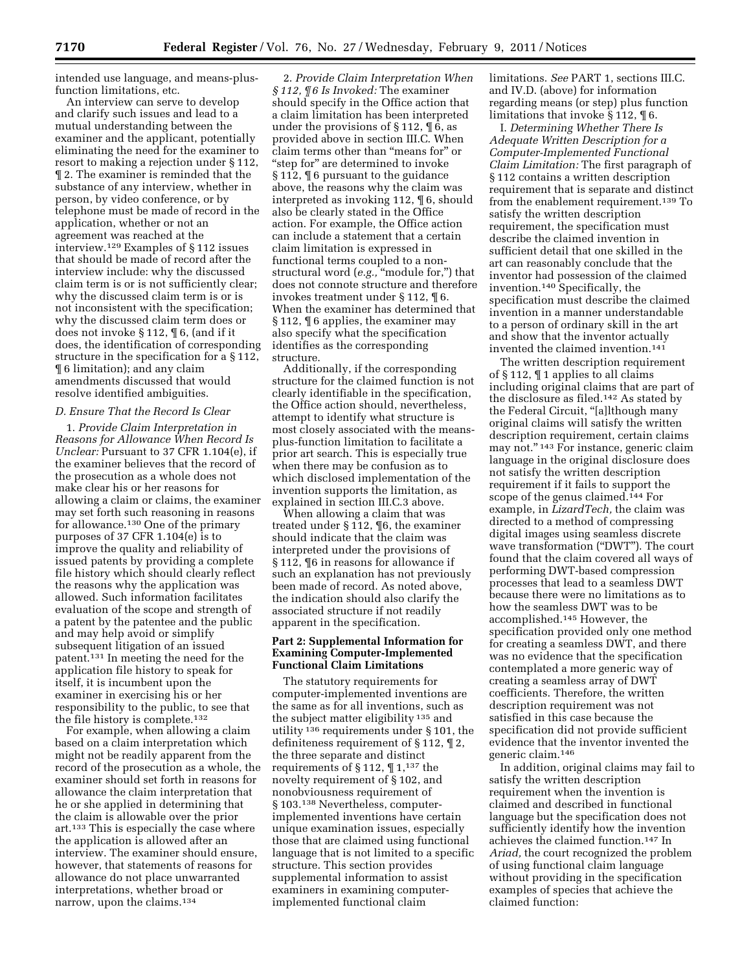intended use language, and means-plusfunction limitations, etc.

An interview can serve to develop and clarify such issues and lead to a mutual understanding between the examiner and the applicant, potentially eliminating the need for the examiner to resort to making a rejection under § 112, ¶ 2. The examiner is reminded that the substance of any interview, whether in person, by video conference, or by telephone must be made of record in the application, whether or not an agreement was reached at the interview.129 Examples of § 112 issues that should be made of record after the interview include: why the discussed claim term is or is not sufficiently clear; why the discussed claim term is or is not inconsistent with the specification; why the discussed claim term does or does not invoke § 112, ¶ 6, (and if it does, the identification of corresponding structure in the specification for a § 112, ¶ 6 limitation); and any claim amendments discussed that would resolve identified ambiguities.

#### *D. Ensure That the Record Is Clear*

1. *Provide Claim Interpretation in Reasons for Allowance When Record Is Unclear:* Pursuant to 37 CFR 1.104(e), if the examiner believes that the record of the prosecution as a whole does not make clear his or her reasons for allowing a claim or claims, the examiner may set forth such reasoning in reasons for allowance.130 One of the primary purposes of 37 CFR 1.104 $(e)$  is to improve the quality and reliability of issued patents by providing a complete file history which should clearly reflect the reasons why the application was allowed. Such information facilitates evaluation of the scope and strength of a patent by the patentee and the public and may help avoid or simplify subsequent litigation of an issued patent.131 In meeting the need for the application file history to speak for itself, it is incumbent upon the examiner in exercising his or her responsibility to the public, to see that the file history is complete.132

For example, when allowing a claim based on a claim interpretation which might not be readily apparent from the record of the prosecution as a whole, the examiner should set forth in reasons for allowance the claim interpretation that he or she applied in determining that the claim is allowable over the prior art.133 This is especially the case where the application is allowed after an interview. The examiner should ensure, however, that statements of reasons for allowance do not place unwarranted interpretations, whether broad or narrow, upon the claims.134

2. *Provide Claim Interpretation When § 112, ¶ 6 Is Invoked:* The examiner should specify in the Office action that a claim limitation has been interpreted under the provisions of  $\S 112$ ,  $\P 6$ , as provided above in section III.C. When claim terms other than ''means for'' or ''step for'' are determined to invoke § 112, ¶6 pursuant to the guidance above, the reasons why the claim was interpreted as invoking 112, ¶ 6, should also be clearly stated in the Office action. For example, the Office action can include a statement that a certain claim limitation is expressed in functional terms coupled to a nonstructural word (*e.g.*, "module for,") that does not connote structure and therefore invokes treatment under § 112, ¶ 6. When the examiner has determined that § 112, ¶ 6 applies, the examiner may also specify what the specification identifies as the corresponding structure.

Additionally, if the corresponding structure for the claimed function is not clearly identifiable in the specification, the Office action should, nevertheless, attempt to identify what structure is most closely associated with the meansplus-function limitation to facilitate a prior art search. This is especially true when there may be confusion as to which disclosed implementation of the invention supports the limitation, as explained in section III.C.3 above.

When allowing a claim that was treated under § 112, ¶6, the examiner should indicate that the claim was interpreted under the provisions of § 112, ¶6 in reasons for allowance if such an explanation has not previously been made of record. As noted above, the indication should also clarify the associated structure if not readily apparent in the specification.

## **Part 2: Supplemental Information for Examining Computer-Implemented Functional Claim Limitations**

The statutory requirements for computer-implemented inventions are the same as for all inventions, such as the subject matter eligibility 135 and utility 136 requirements under § 101, the definiteness requirement of § 112, ¶ 2, the three separate and distinct requirements of  $\S 112$ ,  $\P 1$ ,  $137$  the novelty requirement of § 102, and nonobviousness requirement of § 103.138 Nevertheless, computerimplemented inventions have certain unique examination issues, especially those that are claimed using functional language that is not limited to a specific structure. This section provides supplemental information to assist examiners in examining computerimplemented functional claim

limitations. *See* PART 1, sections III.C. and IV.D. (above) for information regarding means (or step) plus function limitations that invoke § 112, ¶ 6.

I. *Determining Whether There Is Adequate Written Description for a Computer-Implemented Functional Claim Limitation:* The first paragraph of § 112 contains a written description requirement that is separate and distinct from the enablement requirement.139 To satisfy the written description requirement, the specification must describe the claimed invention in sufficient detail that one skilled in the art can reasonably conclude that the inventor had possession of the claimed invention.140 Specifically, the specification must describe the claimed invention in a manner understandable to a person of ordinary skill in the art and show that the inventor actually invented the claimed invention.141

The written description requirement of § 112, ¶ 1 applies to all claims including original claims that are part of the disclosure as filed.142 As stated by the Federal Circuit, "[a]lthough many original claims will satisfy the written description requirement, certain claims may not."<sup>143</sup> For instance, generic claim language in the original disclosure does not satisfy the written description requirement if it fails to support the scope of the genus claimed.<sup>144</sup> For example, in *LizardTech,* the claim was directed to a method of compressing digital images using seamless discrete wave transformation ("DWT"). The court found that the claim covered all ways of performing DWT-based compression processes that lead to a seamless DWT because there were no limitations as to how the seamless DWT was to be accomplished.145 However, the specification provided only one method for creating a seamless DWT, and there was no evidence that the specification contemplated a more generic way of creating a seamless array of DWT coefficients. Therefore, the written description requirement was not satisfied in this case because the specification did not provide sufficient evidence that the inventor invented the generic claim.146

In addition, original claims may fail to satisfy the written description requirement when the invention is claimed and described in functional language but the specification does not sufficiently identify how the invention achieves the claimed function.147 In *Ariad,* the court recognized the problem of using functional claim language without providing in the specification examples of species that achieve the claimed function: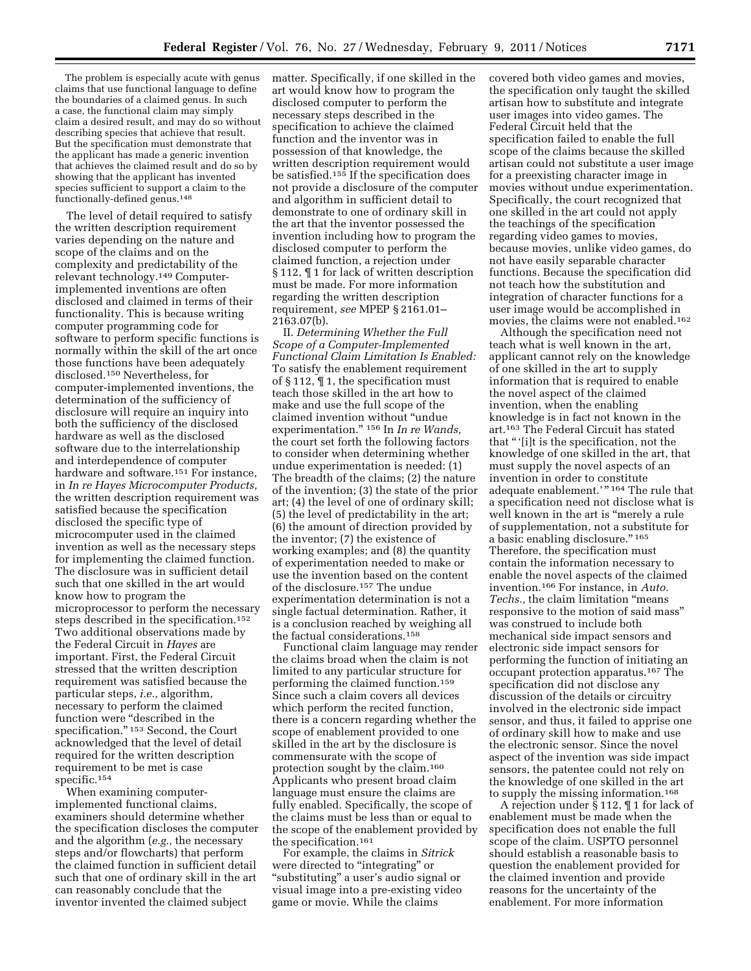The problem is especially acute with genus claims that use functional language to define the boundaries of a claimed genus. In such a case, the functional claim may simply claim a desired result, and may do so without describing species that achieve that result. But the specification must demonstrate that the applicant has made a generic invention that achieves the claimed result and do so by showing that the applicant has invented species sufficient to support a claim to the functionally-defined genus.148

The level of detail required to satisfy the written description requirement varies depending on the nature and scope of the claims and on the complexity and predictability of the relevant technology.149 Computerimplemented inventions are often disclosed and claimed in terms of their functionality. This is because writing computer programming code for software to perform specific functions is normally within the skill of the art once those functions have been adequately disclosed.150 Nevertheless, for computer-implemented inventions, the determination of the sufficiency of disclosure will require an inquiry into both the sufficiency of the disclosed hardware as well as the disclosed software due to the interrelationship and interdependence of computer hardware and software.151 For instance, in *In re Hayes Microcomputer Products,*  the written description requirement was satisfied because the specification disclosed the specific type of microcomputer used in the claimed invention as well as the necessary steps for implementing the claimed function. The disclosure was in sufficient detail such that one skilled in the art would know how to program the microprocessor to perform the necessary steps described in the specification.152 Two additional observations made by the Federal Circuit in *Hayes* are important. First, the Federal Circuit stressed that the written description requirement was satisfied because the particular steps, *i.e.,* algorithm, necessary to perform the claimed function were "described in the specification."<sup>153</sup> Second, the Court acknowledged that the level of detail required for the written description requirement to be met is case specific.154

When examining computerimplemented functional claims, examiners should determine whether the specification discloses the computer and the algorithm (*e.g.,* the necessary steps and/or flowcharts) that perform the claimed function in sufficient detail such that one of ordinary skill in the art can reasonably conclude that the inventor invented the claimed subject

matter. Specifically, if one skilled in the art would know how to program the disclosed computer to perform the necessary steps described in the specification to achieve the claimed function and the inventor was in possession of that knowledge, the written description requirement would be satisfied.155 If the specification does not provide a disclosure of the computer and algorithm in sufficient detail to demonstrate to one of ordinary skill in the art that the inventor possessed the invention including how to program the disclosed computer to perform the claimed function, a rejection under § 112, ¶ 1 for lack of written description must be made. For more information regarding the written description requirement, *see* MPEP § 2161.01– 2163.07(b).

II. *Determining Whether the Full Scope of a Computer-Implemented Functional Claim Limitation Is Enabled:*  To satisfy the enablement requirement of § 112, ¶ 1, the specification must teach those skilled in the art how to make and use the full scope of the claimed invention without ''undue experimentation.'' 156 In *In re Wands,*  the court set forth the following factors to consider when determining whether undue experimentation is needed: (1) The breadth of the claims; (2) the nature of the invention; (3) the state of the prior art; (4) the level of one of ordinary skill; (5) the level of predictability in the art; (6) the amount of direction provided by the inventor; (7) the existence of working examples; and (8) the quantity of experimentation needed to make or use the invention based on the content of the disclosure.157 The undue experimentation determination is not a single factual determination. Rather, it is a conclusion reached by weighing all the factual considerations.158

Functional claim language may render the claims broad when the claim is not limited to any particular structure for performing the claimed function.159 Since such a claim covers all devices which perform the recited function, there is a concern regarding whether the scope of enablement provided to one skilled in the art by the disclosure is commensurate with the scope of protection sought by the claim.160 Applicants who present broad claim language must ensure the claims are fully enabled. Specifically, the scope of the claims must be less than or equal to the scope of the enablement provided by the specification.161

For example, the claims in *Sitrick*  were directed to "integrating" or ''substituting'' a user's audio signal or visual image into a pre-existing video game or movie. While the claims

covered both video games and movies, the specification only taught the skilled artisan how to substitute and integrate user images into video games. The Federal Circuit held that the specification failed to enable the full scope of the claims because the skilled artisan could not substitute a user image for a preexisting character image in movies without undue experimentation. Specifically, the court recognized that one skilled in the art could not apply the teachings of the specification regarding video games to movies, because movies, unlike video games, do not have easily separable character functions. Because the specification did not teach how the substitution and integration of character functions for a user image would be accomplished in movies, the claims were not enabled.162

Although the specification need not teach what is well known in the art, applicant cannot rely on the knowledge of one skilled in the art to supply information that is required to enable the novel aspect of the claimed invention, when the enabling knowledge is in fact not known in the art.163 The Federal Circuit has stated that '' '[i]t is the specification, not the knowledge of one skilled in the art, that must supply the novel aspects of an invention in order to constitute adequate enablement.'" 164 The rule that a specification need not disclose what is well known in the art is "merely a rule of supplementation, not a substitute for a basic enabling disclosure.'' 165 Therefore, the specification must contain the information necessary to enable the novel aspects of the claimed invention.166 For instance, in *Auto. Techs.,* the claim limitation ''means responsive to the motion of said mass'' was construed to include both mechanical side impact sensors and electronic side impact sensors for performing the function of initiating an occupant protection apparatus.167 The specification did not disclose any discussion of the details or circuitry involved in the electronic side impact sensor, and thus, it failed to apprise one of ordinary skill how to make and use the electronic sensor. Since the novel aspect of the invention was side impact sensors, the patentee could not rely on the knowledge of one skilled in the art to supply the missing information.168

A rejection under § 112, ¶ 1 for lack of enablement must be made when the specification does not enable the full scope of the claim. USPTO personnel should establish a reasonable basis to question the enablement provided for the claimed invention and provide reasons for the uncertainty of the enablement. For more information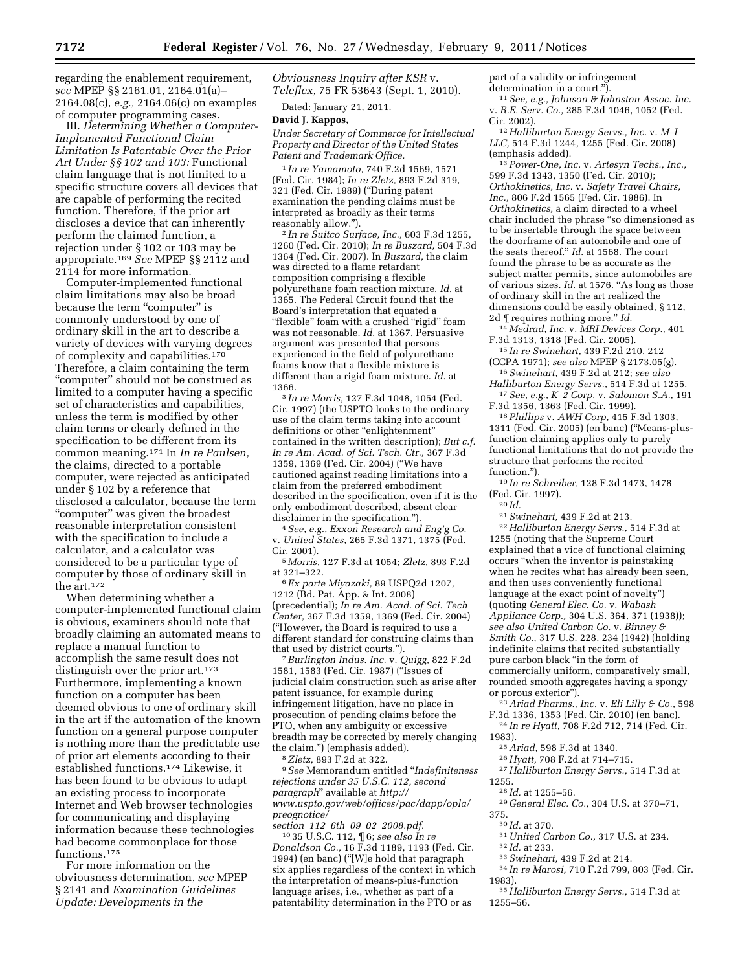regarding the enablement requirement, *see* MPEP §§ 2161.01, 2164.01(a)– 2164.08(c), *e.g.,* 2164.06(c) on examples of computer programming cases.

III. *Determining Whether a Computer-Implemented Functional Claim Limitation Is Patentable Over the Prior Art Under §§ 102 and 103:* Functional claim language that is not limited to a specific structure covers all devices that are capable of performing the recited function. Therefore, if the prior art discloses a device that can inherently perform the claimed function, a rejection under § 102 or 103 may be appropriate.169 *See* MPEP §§ 2112 and 2114 for more information.

Computer-implemented functional claim limitations may also be broad because the term "computer" is commonly understood by one of ordinary skill in the art to describe a variety of devices with varying degrees of complexity and capabilities.170 Therefore, a claim containing the term "computer" should not be construed as limited to a computer having a specific set of characteristics and capabilities, unless the term is modified by other claim terms or clearly defined in the specification to be different from its common meaning.171 In *In re Paulsen,*  the claims, directed to a portable computer, were rejected as anticipated under § 102 by a reference that disclosed a calculator, because the term ''computer'' was given the broadest reasonable interpretation consistent with the specification to include a calculator, and a calculator was considered to be a particular type of computer by those of ordinary skill in the art.172

When determining whether a computer-implemented functional claim is obvious, examiners should note that broadly claiming an automated means to replace a manual function to accomplish the same result does not distinguish over the prior art.<sup>173</sup> Furthermore, implementing a known function on a computer has been deemed obvious to one of ordinary skill in the art if the automation of the known function on a general purpose computer is nothing more than the predictable use of prior art elements according to their established functions.174 Likewise, it has been found to be obvious to adapt an existing process to incorporate Internet and Web browser technologies for communicating and displaying information because these technologies had become commonplace for those functions.175

For more information on the obviousness determination, *see* MPEP § 2141 and *Examination Guidelines Update: Developments in the* 

*Obviousness Inquiry after KSR* v. *Teleflex,* 75 FR 53643 (Sept. 1, 2010).

Dated: January 21, 2011.

# **David J. Kappos,**

*Under Secretary of Commerce for Intellectual Property and Director of the United States Patent and Trademark Office.* 

1 *In re Yamamoto,* 740 F.2d 1569, 1571 (Fed. Cir. 1984); *In re Zletz,* 893 F.2d 319, 321 (Fed. Cir. 1989) (''During patent examination the pending claims must be interpreted as broadly as their terms<br>reasonably allow.").

<sup>2</sup> In re Suitco Surface, Inc., 603 F.3d 1255, 1260 (Fed. Cir. 2010); *In re Buszard,* 504 F.3d 1364 (Fed. Cir. 2007). In *Buszard,* the claim was directed to a flame retardant composition comprising a flexible polyurethane foam reaction mixture. *Id.* at 1365. The Federal Circuit found that the Board's interpretation that equated a ''flexible'' foam with a crushed ''rigid'' foam was not reasonable. *Id.* at 1367. Persuasive argument was presented that persons experienced in the field of polyurethane foams know that a flexible mixture is different than a rigid foam mixture. *Id.* at 1366. 3 *In re Morris,* 127 F.3d 1048, 1054 (Fed.

Cir. 1997) (the USPTO looks to the ordinary use of the claim terms taking into account definitions or other "enlightenment" contained in the written description); *But c.f. In re Am. Acad. of Sci. Tech. Ctr.,* 367 F.3d 1359, 1369 (Fed. Cir. 2004) (''We have cautioned against reading limitations into a claim from the preferred embodiment described in the specification, even if it is the only embodiment described, absent clear<br>disclaimer in the specification.").

<sup>4</sup> See, e.g., Exxon Research and Eng'g Co. v. *United States,* 265 F.3d 1371, 1375 (Fed.

Cir. 2001). 5 *Morris,* 127 F.3d at 1054; *Zletz,* 893 F.2d

<sup>6</sup> Ex parte Miyazaki, 89 USPQ2d 1207, 1212 (Bd. Pat. App. & Int. 2008) (precedential); *In re Am. Acad. of Sci. Tech Center,* 367 F.3d 1359, 1369 (Fed. Cir. 2004) (''However, the Board is required to use a different standard for construing claims than that used by district courts.''). 7*Burlington Indus. Inc.* v. *Quigg,* 822 F.2d

1581, 1583 (Fed. Cir. 1987) (''Issues of judicial claim construction such as arise after patent issuance, for example during infringement litigation, have no place in prosecution of pending claims before the PTO, when any ambiguity or excessive breadth may be corrected by merely changing<br>the claim.") (emphasis added).

the claim.'') (emphasis added). 8*Zletz,* 893 F.2d at 322. 9*See* Memorandum entitled ''*Indefiniteness rejections under 35 U.S.C. 112, second paragraph*'' available at *[http://](http://www.uspto.gov/web/offices/pac/dapp/opla/preognotice/section_112_6th_09_02_2008.pdf) [www.uspto.gov/web/offices/pac/dapp/opla/](http://www.uspto.gov/web/offices/pac/dapp/opla/preognotice/section_112_6th_09_02_2008.pdf)  [preognotice/](http://www.uspto.gov/web/offices/pac/dapp/opla/preognotice/section_112_6th_09_02_2008.pdf)* 

*section*\_*112*\_*6th*\_*09*\_*02*\_*[2008.pdf.](http://www.uspto.gov/web/offices/pac/dapp/opla/preognotice/section_112_6th_09_02_2008.pdf)* 10 35 U.S.C. 112, ¶ 6; *see also In re Donaldson Co.,* 16 F.3d 1189, 1193 (Fed. Cir. 1994) (en banc) (''[W]e hold that paragraph six applies regardless of the context in which the interpretation of means-plus-function language arises, i.e., whether as part of a patentability determination in the PTO or as

part of a validity or infringement

determination in a court.''). 11*See, e.g., Johnson & Johnston Assoc. Inc.*  v. *R.E. Serv. Co.,* 285 F.3d 1046, 1052 (Fed.

Cir. 2002). 12*Halliburton Energy Servs., Inc.* v. *M–I LLC,* 514 F.3d 1244, 1255 (Fed. Cir. 2008) (emphasis added). 13*Power-One, Inc.* v. *Artesyn Techs., Inc.,* 

599 F.3d 1343, 1350 (Fed. Cir. 2010); *Orthokinetics, Inc.* v. *Safety Travel Chairs, Inc.,* 806 F.2d 1565 (Fed. Cir. 1986). In *Orthokinetics,* a claim directed to a wheel chair included the phrase ''so dimensioned as to be insertable through the space between the doorframe of an automobile and one of the seats thereof.'' *Id.* at 1568. The court found the phrase to be as accurate as the subject matter permits, since automobiles are of various sizes. *Id.* at 1576. "As long as those of ordinary skill in the art realized the dimensions could be easily obtained, § 112, 2d ¶ requires nothing more.'' *Id.* 

14 *Medrad, Inc.* v. *MRI Devices Corp.,* 401

<sup>15</sup> In re Swinehart, 439 F.2d 210, 212<br>(CCPA 1971); *see also* MPEP § 2173.05(g).

(CCPA 1971); *see also* MPEP § 2173.05(g). 16*Swinehart,* 439 F.2d at 212; *see also* 

*Halliburton Energy Servs.,* 514 F.3d at 1255. 17*See, e.g., K–2 Corp.* v. *Salomon S.A.,* <sup>191</sup>

F.3d 1356, 1363 (Fed. Cir. 1999). 18*Phillips* v. *AWH Corp,* 415 F.3d 1303, 1311 (Fed. Cir. 2005) (en banc) (''Means-plusfunction claiming applies only to purely functional limitations that do not provide the structure that performs the recited<br>function.").

function.''). 19 *In re Schreiber,* 128 F.3d 1473, 1478

(Fed. Cir. 1997). 20 *Id.* 

<sup>22</sup> Halliburton Energy Servs., 514 F.3d at 1255 (noting that the Supreme Court explained that a vice of functional claiming occurs ''when the inventor is painstaking when he recites what has already been seen, and then uses conveniently functional language at the exact point of novelty'') (quoting *General Elec. Co.* v. *Wabash Appliance Corp.,* 304 U.S. 364, 371 (1938)); *see also United Carbon Co.* v. *Binney & Smith Co.,* 317 U.S. 228, 234 (1942) (holding indefinite claims that recited substantially pure carbon black "in the form of commercially uniform, comparatively small, rounded smooth aggregates having a spongy<br>or porous exterior").

<sup>23</sup> Ariad Pharms., Inc. v. *Eli Lilly & Co.*, 598<br>F.3d 1336, 1353 (Fed. Cir. 2010) (en banc).

<sup>24</sup> In re Hyatt, 708 F.2d 712, 714 (Fed. Cir. 1983).

1983). 25*Ariad,* 598 F.3d at 1340. 26*Hyatt,* 708 F.2d at 714–715. 27*Halliburton Energy Servs.,* 514 F.3d at

1255. 28 *Id.* at 1255–56. 29 *General Elec. Co.,* 304 U.S. at 370–71,

- 
- 

<sup>30</sup> *Id.* at 370.<br><sup>31</sup> *United Carbon Co.*, 317 U.S. at 234.<br><sup>32</sup> *Id.* at 233.<br><sup>34</sup> *In re Marosi,* 710 F.2d 799, 803 (Fed. Cir.<br><sup>34</sup> *In re Marosi,* 710 F.2d 799, 803 (Fed. Cir.<br>1983)

1983). 35*Halliburton Energy Servs.,* 514 F.3d at 1255–56.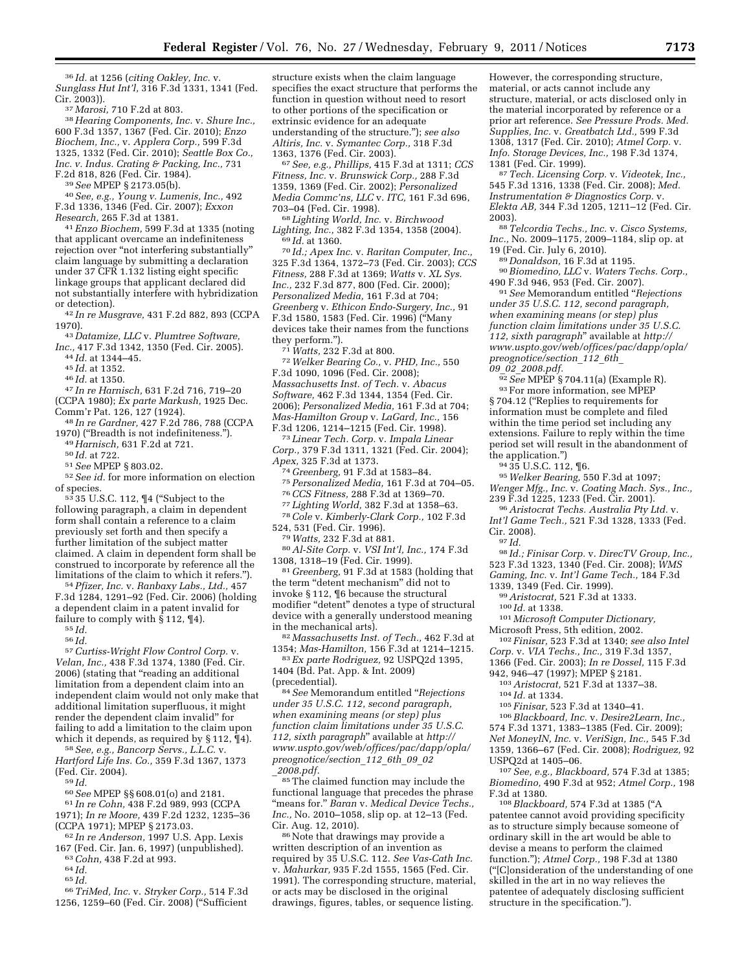36 *Id.* at 1256 (*citing Oakley, Inc.* v. *Sunglass Hut Int'l,* 316 F.3d 1331, 1341 (Fed.

Cir. 2003)). 37 *Marosi,* 710 F.2d at 803. 38*Hearing Components, Inc.* v. *Shure Inc.,*  600 F.3d 1357, 1367 (Fed. Cir. 2010); *Enzo Biochem, Inc.,* v. *Applera Corp.,* 599 F.3d 1325, 1332 (Fed. Cir. 2010); *Seattle Box Co., Inc. v. Indus. Crating & Packing, Inc.,* 731

<sup>39</sup> See MPEP § 2173.05(b).<br><sup>40</sup> See, e.g., Young v. Lumenis, Inc., 492 F.3d 1336, 1346 (Fed. Cir. 2007); *Exxon* 

*Research,* 265 F.3d at 1381. 41*Enzo Biochem,* 599 F.3d at 1335 (noting that applicant overcame an indefiniteness rejection over "not interfering substantially" claim language by submitting a declaration under 37 CFR 1.132 listing eight specific linkage groups that applicant declared did not substantially interfere with hybridization

or detection). 42 *In re Musgrave,* 431 F.2d 882, 893 (CCPA

1970). 43 *Datamize, LLC* v. *Plumtree Software,* 

*Inc.,* 417 F.3d 1342, 1350 (Fed. Cir. 2005). 44 *Id.* at 1344–45. 45 *Id.* at 1352. 46 *Id.* at 1350. 47 *In re Harnisch,* 631 F.2d 716, 719–20

(CCPA 1980); *Ex parte Markush,* 1925 Dec.

<sup>48</sup> In re Gardner, 427 F.2d 786, 788 (CCPA 1970) ("Breadth is not indefiniteness.").

<sup>49</sup> Harnisch, 631 F.2d at 721.<br><sup>50</sup> Id. at 722.<br><sup>51</sup> See MPEP § 803.02. <sup>52</sup> See id. for more information on election

of species.<br> $53\,35$  U.S.C. 112,  $\P$ 4 ("Subject to the following paragraph, a claim in dependent form shall contain a reference to a claim previously set forth and then specify a further limitation of the subject matter claimed. A claim in dependent form shall be construed to incorporate by reference all the<br>limitations of the claim to which it refers.").

54 Pfizer, Inc. v. Ranbaxy Labs., Ltd., 457 F.3d 1284, 1291–92 (Fed. Cir. 2006) (holding a dependent claim in a patent invalid for failure to comply with § 112,  $\P$ 4).<br><sup>55</sup>*Id*.

56 *Id.* 

57*Curtiss-Wright Flow Control Corp.* v. *Velan, Inc.,* 438 F.3d 1374, 1380 (Fed. Cir. 2006) (stating that ''reading an additional limitation from a dependent claim into an independent claim would not only make that additional limitation superfluous, it might render the dependent claim invalid'' for failing to add a limitation to the claim upon which it depends, as required by § 112, ¶4). 58*See, e.g., Bancorp Servs., L.L.C.* v.

*Hartford Life Ins. Co.,* 359 F.3d 1367, 1373 (Fed. Cir. 2004).<br><sup>59</sup> *Id.*<br><sup>60</sup> *See* MPEP §§ 608.01(0) and 2181.

<sup>60</sup>*See* MPEP §§ 608.01(o) and 2181. 61 *In re Cohn,* 438 F.2d 989, 993 (CCPA

1971); *In re Moore,* 439 F.2d 1232, 1235–36

<sup>62</sup> In re Anderson, 1997 U.S. App. Lexis 167 (Fed. Cir. Jan. 6, 1997) (unpublished). 63*Cohn,* 438 F.2d at 993. 64 *Id.* 

65 *Id.* 

66*TriMed, Inc.* v. *Stryker Corp.,* 514 F.3d 1256, 1259–60 (Fed. Cir. 2008) (''Sufficient

structure exists when the claim language specifies the exact structure that performs the function in question without need to resort to other portions of the specification or extrinsic evidence for an adequate understanding of the structure.''); *see also Altiris, Inc.* v. *Symantec Corp.,* 318 F.3d

1363, 1376 (Fed. Cir. 2003). 67*See, e.g., Phillips,* 415 F.3d at 1311; *CCS Fitness, Inc.* v. *Brunswick Corp.,* 288 F.3d 1359, 1369 (Fed. Cir. 2002); *Personalized Media Commc'ns, LLC* v. *ITC,* 161 F.3d 696,

703–04 (Fed. Cir. 1998). 68 *Lighting World, Inc.* v. *Birchwood Lighting, Inc.,* 382 F.3d 1354, 1358 (2004). 69 *Id.* at 1360. 70 *Id.; Apex Inc.* v. *Raritan Computer, Inc.,* 

325 F.3d 1364, 1372–73 (Fed. Cir. 2003); *CCS Fitness,* 288 F.3d at 1369; *Watts* v. *XL Sys. Inc.,* 232 F.3d 877, 800 (Fed. Cir. 2000); *Personalized Media,* 161 F.3d at 704; *Greenberg* v. *Ethicon Endo-Surgery, Inc.,* 91 F.3d 1580, 1583 (Fed. Cir. 1996) (''Many devices take their names from the functions<br>they perform.").

they perform.''). 71*Watts,* 232 F.3d at 800. 72*Welker Bearing Co.,* v. *PHD, Inc.,* <sup>550</sup> F.3d 1090, 1096 (Fed. Cir. 2008); *Massachusetts Inst. of Tech.* v. *Abacus Software,* 462 F.3d 1344, 1354 (Fed. Cir. 2006); *Personalized Media,* 161 F.3d at 704; *Mas-Hamilton Group* v. *LaGard, Inc.,* 156

F.3d 1206, 1214–1215 (Fed. Cir. 1998). 73 *Linear Tech. Corp.* v. *Impala Linear Corp.,* 379 F.3d 1311, 1321 (Fed. Cir. 2004);

Apex, 325 F.3d at 1373.<br>
<sup>74</sup> Greenberg, 91 F.3d at 1583–84.<br>
<sup>75</sup> Personalized Media, 161 F.3d at 704–05.<br>
<sup>76</sup> CCS Fitness, 288 F.3d at 1369–70.<br>
<sup>77</sup> Lighting World, 382 F.3d at 1358–63.<br>
<sup>78</sup> Cole v. Kimberly-Clark Co

524, 531 (Fed. Cir. 1996). 79*Watts,* 232 F.3d at 881. 80*Al-Site Corp.* v. *VSI Int'l, Inc.,* 174 F.3d

<sup>81</sup> Greenberg, 91 F.3d at 1583 (holding that the term ''detent mechanism'' did not to invoke § 112, ¶6 because the structural modifier "detent" denotes a type of structural device with a generally understood meaning<br>in the mechanical arts).

<sup>82</sup> Massachusetts Inst. of Tech., 462 F.3d at 1354; *Mas-Hamilton,* 156 F.3d at 1214–1215. 83*Ex parte Rodriguez,* 92 USPQ2d 1395,

1404 (Bd. Pat. App. & Int. 2009)

(precedential). 84*See* Memorandum entitled ''*Rejections under 35 U.S.C. 112, second paragraph, when examining means (or step) plus function claim limitations under 35 U.S.C. 112, sixth paragraph*'' available at *[http://](http://www.uspto.gov/web/offices/pac/dapp/opla/preognotice/section_112_6th_09_02_2008.pdf) [www.uspto.gov/web/offices/pac/dapp/opla/](http://www.uspto.gov/web/offices/pac/dapp/opla/preognotice/section_112_6th_09_02_2008.pdf) [preognotice/section](http://www.uspto.gov/web/offices/pac/dapp/opla/preognotice/section_112_6th_09_02_2008.pdf)*\_*112*\_*6th*\_*09*\_*02* \_*[2008.pdf.](http://www.uspto.gov/web/offices/pac/dapp/opla/preognotice/section_112_6th_09_02_2008.pdf)* 

85The claimed function may include the functional language that precedes the phrase ''means for.'' *Baran* v. *Medical Device Techs., Inc.,* No. 2010–1058, slip op. at 12–13 (Fed.

<sup>86</sup> Note that drawings may provide a written description of an invention as required by 35 U.S.C. 112. *See Vas-Cath Inc.*  v. *Mahurkar,* 935 F.2d 1555, 1565 (Fed. Cir. 1991). The corresponding structure, material, or acts may be disclosed in the original drawings, figures, tables, or sequence listing.

However, the corresponding structure, material, or acts cannot include any structure, material, or acts disclosed only in the material incorporated by reference or a prior art reference. *See Pressure Prods. Med. Supplies, Inc.* v. *Greatbatch Ltd.,* 599 F.3d 1308, 1317 (Fed. Cir. 2010); *Atmel Corp.* v. *Info. Storage Devices, Inc.,* 198 F.3d 1374, 1381 (Fed. Cir. 1999). 87*Tech. Licensing Corp.* v. *Videotek, Inc.,* 

545 F.3d 1316, 1338 (Fed. Cir. 2008); *Med. Instrumentation & Diagnostics Corp.* v. *Elekta AB,* 344 F.3d 1205, 1211–12 (Fed. Cir.

2003). 88*Telcordia Techs., Inc.* v. *Cisco Systems, Inc.,* No. 2009–1175, 2009–1184, slip op. at

19 (Fed. Cir. July 6, 2010).<br><sup>89</sup> *Donaldson*, 16 F.3d at 1195.<br><sup>90</sup> *Biomedino, LLC* v. *Waters Techs. Corp.,* <br>490 F.3d 946, 953 (Fed. Cir. 2007).

<sup>91</sup> See Memorandum entitled "*Rejections under 35 U.S.C. 112, second paragraph, when examining means (or step) plus function claim limitations under 35 U.S.C. 112, sixth paragraph*'' available at *[http://](http://www.uspto.gov/web/offices/pac/dapp/opla/preognotice/section_112_6th_09_02_2008.pdf) [www.uspto.gov/web/offices/pac/dapp/opla/](http://www.uspto.gov/web/offices/pac/dapp/opla/preognotice/section_112_6th_09_02_2008.pdf) [preognotice/section](http://www.uspto.gov/web/offices/pac/dapp/opla/preognotice/section_112_6th_09_02_2008.pdf)*\_*112*\_*6th*\_ *09*\_*02*\_*[2008.pdf.](http://www.uspto.gov/web/offices/pac/dapp/opla/preognotice/section_112_6th_09_02_2008.pdf)* 

<sup>92</sup> See MPEP § 704.11(a) (Example R).<br><sup>93</sup> For more information, see MPEP § 704.12 (''Replies to requirements for information must be complete and filed within the time period set including any extensions. Failure to reply within the time period set will result in the abandonment of

the application.'') 94 35 U.S.C. 112, ¶6. 95*Welker Bearing,* 550 F.3d at 1097; *Wenger Mfg., Inc.* v. *Coating Mach. Sys., Inc.,* 

<sup>96</sup> Aristocrat Techs. Australia Pty Ltd. v. *Int'l Game Tech.,* 521 F.3d 1328, 1333 (Fed. Cir. 2008). 97 *Id.* 

98 *Id.; Finisar Corp.* v. *DirecTV Group, Inc.,*  523 F.3d 1323, 1340 (Fed. Cir. 2008); *WMS Gaming, Inc.* v. *Int'l Game Tech.,* 184 F.3d

1339, 1349 (Fed. Cir. 1999). 99*Aristocrat,* 521 F.3d at 1333. 100 *Id.* at 1338. 101 *Microsoft Computer Dictionary,*  Microsoft Press, 5th edition, 2002. 102 *Finisar,* 523 F.3d at 1340; *see also Intel* 

*Corp.* v. *VIA Techs., Inc.,* 319 F.3d 1357, 1366 (Fed. Cir. 2003); *In re Dossel,* 115 F.3d

942, 946–47 (1997); MPEP § 2181. 103*Aristocrat,* 521 F.3d at 1337–38. 104 *Id.* at 1334. 105 *Finisar,* 523 F.3d at 1340–41. 106*Blackboard, Inc.* v. *Desire2Learn, Inc.,*  574 F.3d 1371, 1383–1385 (Fed. Cir. 2009); *Net MoneyIN, Inc.* v. *VeriSign, Inc.,* 545 F.3d 1359, 1366–67 (Fed. Cir. 2008); *Rodriguez,* 92

<sup>107</sup> See, e.g., Blackboard, 574 F.3d at 1385; *Biomedino,* 490 F.3d at 952; *Atmel Corp.,* 198 F.3d at 1380. 108*Blackboard,* 574 F.3d at 1385 (''<sup>A</sup>

patentee cannot avoid providing specificity as to structure simply because someone of ordinary skill in the art would be able to devise a means to perform the claimed function.''); *Atmel Corp.,* 198 F.3d at 1380 (''[C]onsideration of the understanding of one skilled in the art in no way relieves the patentee of adequately disclosing sufficient structure in the specification.'').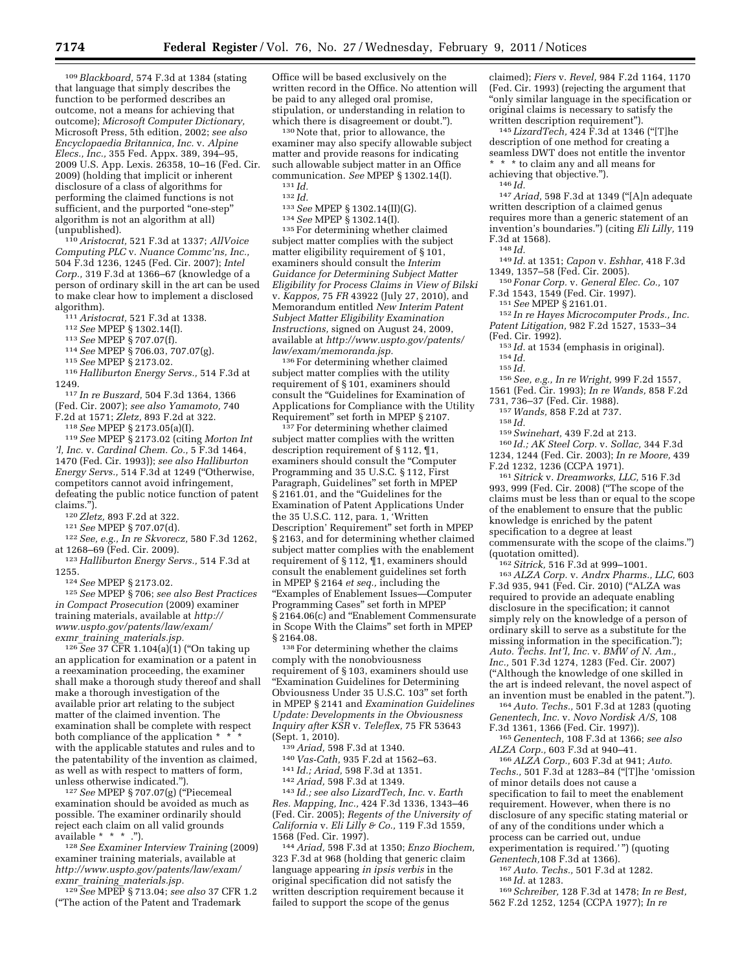109*Blackboard,* 574 F.3d at 1384 (stating that language that simply describes the function to be performed describes an outcome, not a means for achieving that outcome); *Microsoft Computer Dictionary,*  Microsoft Press, 5th edition, 2002; *see also Encyclopaedia Britannica, Inc.* v. *Alpine Elecs., Inc.,* 355 Fed. Appx. 389, 394–95, 2009 U.S. App. Lexis. 26358, 10–16 (Fed. Cir. 2009) (holding that implicit or inherent disclosure of a class of algorithms for performing the claimed functions is not sufficient, and the purported "one-step" algorithm is not an algorithm at all)

(unpublished). 110*Aristocrat,* 521 F.3d at 1337; *AllVoice Computing PLC* v. *Nuance Commc'ns, Inc.,*  504 F.3d 1236, 1245 (Fed. Cir. 2007); *Intel Corp.,* 319 F.3d at 1366–67 (knowledge of a person of ordinary skill in the art can be used to make clear how to implement a disclosed

<sup>111</sup> Aristocrat, 521 F.3d at 1338.<br>
<sup>112</sup> See MPEP § 1302.14(I).<br>
<sup>113</sup> See MPEP § 707.07(f).<br>
<sup>114</sup> See MPEP § 706.03, 707.07(g).<br>
<sup>115</sup> See MPEP § 2173.02.<br>
<sup>116</sup> Halliburton Energy Servs., 514 F.3d at<br>
<sup>116</sup> Halliburt

1249. 117 *In re Buszard,* 504 F.3d 1364, 1366

(Fed. Cir. 2007); *see also Yamamoto,* 740

F.2d at 1571; *Zletz,* 893 F.2d at 322. 118*See* MPEP § 2173.05(a)(I). 119*See* MPEP § 2173.02 (citing *Morton Int 'l, Inc.* v. *Cardinal Chem. Co.,* 5 F.3d 1464, 1470 (Fed. Cir. 1993)); *see also Halliburton Energy Servs.,* 514 F.3d at 1249 (''Otherwise, competitors cannot avoid infringement, defeating the public notice function of patent claims.").

<sup>120</sup> *Zletz,* 893 F.2d at 322.<br><sup>121</sup> *See MPEP § 707.07(d).*<br><sup>122</sup> *See, e.g., In re Skvorecz,* 580 F.3d 1262, <br>at 1268–69 (Fed. Cir. 2009).

<sup>123</sup> Halliburton Energy Servs., 514 F.3d at 1255.

1255. 124*See* MPEP § 2173.02. 125*See* MPEP § 706; *see also Best Practices in Compact Prosecution* (2009) examiner training materials, available at *[http://](http://www.uspto.gov/patents/law/exam/exmr_training_materials.jsp)  [www.uspto.gov/patents/law/exam/](http://www.uspto.gov/patents/law/exam/exmr_training_materials.jsp) exmr*\_*training*\_*[materials.jsp.](http://www.uspto.gov/patents/law/exam/exmr_training_materials.jsp)* 

126*See* 37 CFR 1.104(a)(1) (''On taking up an application for examination or a patent in a reexamination proceeding, the examiner shall make a thorough study thereof and shall make a thorough investigation of the available prior art relating to the subject matter of the claimed invention. The examination shall be complete with respect both compliance of the application \* \* with the applicable statutes and rules and to the patentability of the invention as claimed, as well as with respect to matters of form,<br>unless otherwise indicated.").

127 See MPEP § 707.07(g) ("Piecemeal examination should be avoided as much as possible. The examiner ordinarily should reject each claim on all valid grounds<br>available  $* * *$ .").

<sup>128</sup> See Examiner Interview Training (2009) examiner training materials, available at *[http://www.uspto.gov/patents/law/exam/](http://www.uspto.gov/patents/law/exam/exmr_training_materials.jsp)  exmr*\_*training*\_*[materials.jsp.](http://www.uspto.gov/patents/law/exam/exmr_training_materials.jsp)* 

129*See* MPEP § 713.04; *see also* 37 CFR 1.2 (''The action of the Patent and Trademark

Office will be based exclusively on the written record in the Office. No attention will be paid to any alleged oral promise, stipulation, or understanding in relation to which there is disagreement or doubt.").<br><sup>130</sup>Note that, prior to allowance, the

examiner may also specify allowable subject matter and provide reasons for indicating such allowable subject matter in an Office communication. *See* MPEP § 1302.14(I). 131 *Id.* 

 $^{132}$   $Id.$   $^{133}$   $See$  MPEP  $\S$  1302.14(II)(G).

<sup>134</sup> See MPEP § 1302.14(I).<br><sup>135</sup> For determining whether claimed subject matter complies with the subject matter eligibility requirement of § 101, examiners should consult the *Interim Guidance for Determining Subject Matter Eligibility for Process Claims in View of Bilski*  v. *Kappos,* 75 *FR* 43922 (July 27, 2010), and Memorandum entitled *New Interim Patent Subject Matter Eligibility Examination Instructions,* signed on August 24, 2009, available at *[http://www.uspto.gov/patents/](http://www.uspto.gov/patents/law/exam/memoranda.jsp) [law/exam/memoranda.jsp.](http://www.uspto.gov/patents/law/exam/memoranda.jsp)* 

136For determining whether claimed subject matter complies with the utility requirement of § 101, examiners should consult the ''Guidelines for Examination of Applications for Compliance with the Utility Requirement" set forth in MPEP § 2107.<br><sup>137</sup> For determining whether claimed

subject matter complies with the written description requirement of § 112, ¶1, examiners should consult the ''Computer Programming and 35 U.S.C. § 112, First Paragraph, Guidelines'' set forth in MPEP § 2161.01, and the "Guidelines for the Examination of Patent Applications Under the 35 U.S.C. 112, para.  $1$ , 'Written Description' Requirement'' set forth in MPEP § 2163, and for determining whether claimed subject matter complies with the enablement requirement of § 112, ¶1, examiners should consult the enablement guidelines set forth in MPEP § 2164 *et seq.,* including the ''Examples of Enablement Issues—Computer Programming Cases'' set forth in MPEP § 2164.06(c) and "Enablement Commensurate in Scope With the Claims'' set forth in MPEP

<sup>138</sup> For determining whether the claims comply with the nonobviousness requirement of § 103, examiners should use ''Examination Guidelines for Determining Obviousness Under 35 U.S.C. 103'' set forth in MPEP § 2141 and *Examination Guidelines Update: Developments in the Obviousness Inquiry after KSR* v. *Teleflex,* 75 FR 53643

 $^{139}$  Ariad, 598 F.3d at 1340.<br> $^{140}$  Vas-Cath, 935 F.2d at 1562–63.<br> $^{141}$  Id.; Ariad, 598 F.3d at 1351.<br> $^{142}$  Ariad, 598 F.3d at 1349.<br> $^{143}$  Id.; see also LizardTech, Inc. v. Earth

*Res. Mapping, Inc.,* 424 F.3d 1336, 1343–46 (Fed. Cir. 2005); *Regents of the University of California* v. *Eli Lilly & Co.,* 119 F.3d 1559,

1568 (Fed. Cir. 1997). 144*Ariad,* 598 F.3d at 1350; *Enzo Biochem,*  323 F.3d at 968 (holding that generic claim language appearing *in ipsis verbis* in the original specification did not satisfy the written description requirement because it failed to support the scope of the genus

claimed); *Fiers* v. *Revel,* 984 F.2d 1164, 1170 (Fed. Cir. 1993) (rejecting the argument that ''only similar language in the specification or original claims is necessary to satisfy the written description requirement''). 145 *LizardTech,* 424 F.3d at 1346 (''[T]he

description of one method for creating a seamless DWT does not entitle the inventor \* \* \* to claim any and all means for achieving that objective.''). 146 *Id.* 

147*Ariad,* 598 F.3d at 1349 (''[A]n adequate written description of a claimed genus requires more than a generic statement of an invention's boundaries.'') (citing *Eli Lilly,* 119 F.3d at 1568). 148 *Id.* 

149 *Id.* at 1351; *Capon* v. *Eshhar,* 418 F.3d

1349, 1357–58 (Fed. Cir. 2005). 150 *Fonar Corp.* v. *General Elec. Co.,* <sup>107</sup> F.3d 1543, 1549 (Fed. Cir. 1997). 151*See* MPEP § 2161.01. 152 *In re Hayes Microcomputer Prods., Inc.* 

*Patent Litigation,* 982 F.2d 1527, 1533–34

- <sup>153</sup> *Id.* at 1534 (emphasis in original). <sup>154</sup> *Id.*
- 

155 *Id.* 

- 156*See, e.g., In re Wright,* 999 F.2d 1557,
- 1561 (Fed. Cir. 1993); *In re Wands,* 858 F.2d

731, 736–37 (Fed. Cir. 1988). 157*Wands,* 858 F.2d at 737. 158 *Id.* 

<sup>159</sup>*Swinehart,* 439 F.2d at 213. 160 *Id.; AK Steel Corp.* v. *Sollac,* 344 F.3d

1234, 1244 (Fed. Cir. 2003); *In re Moore,* 439

F.2d 1232, 1236 (CCPA 1971). 161*Sitrick* v. *Dreamworks, LLC,* 516 F.3d 993, 999 (Fed. Cir. 2008) (''The scope of the claims must be less than or equal to the scope of the enablement to ensure that the public knowledge is enriched by the patent specification to a degree at least commensurate with the scope of the claims.'')

(quotation omitted). 162*Sitrick,* 516 F.3d at 999–1001. 163*ALZA Corp.* v. *Andrx Pharms., LLC,* <sup>603</sup> F.3d 935, 941 (Fed. Cir. 2010) (''ALZA was required to provide an adequate enabling disclosure in the specification; it cannot simply rely on the knowledge of a person of ordinary skill to serve as a substitute for the missing information in the specification.''); *Auto. Techs. Int'l, Inc.* v. *BMW of N. Am., Inc.,* 501 F.3d 1274, 1283 (Fed. Cir. 2007) (''Although the knowledge of one skilled in the art is indeed relevant, the novel aspect of<br>an invention must be enabled in the patent.").

<sup>164</sup> Auto. Techs., 501 F.3d at 1283 (quoting *Genentech, Inc.* v. *Novo Nordisk A/S,* 108

F.3d 1361, 1366 (Fed. Cir. 1997)). 165 *Genentech,* 108 F.3d at 1366; *see also* 

*ALZA Corp.,* 603 F.3d at 940–41. 166*ALZA Corp.,* 603 F.3d at 941; *Auto. Techs.,* 501 F.3d at 1283–84 (''[T]he 'omission of minor details does not cause a specification to fail to meet the enablement requirement. However, when there is no disclosure of any specific stating material or of any of the conditions under which a process can be carried out, undue experimentation is required.' '') (quoting *Genentech,*108 F.3d at 1366).<br><sup>167</sup> *Auto. Techs.,* 501 F.3d at 1282.<br><sup>168</sup> *Id.* at 1283.<br><sup>169</sup> *Schreiber,* 128 F.3d at 1478; *In re Best,* 

562 F.2d 1252, 1254 (CCPA 1977); *In re*